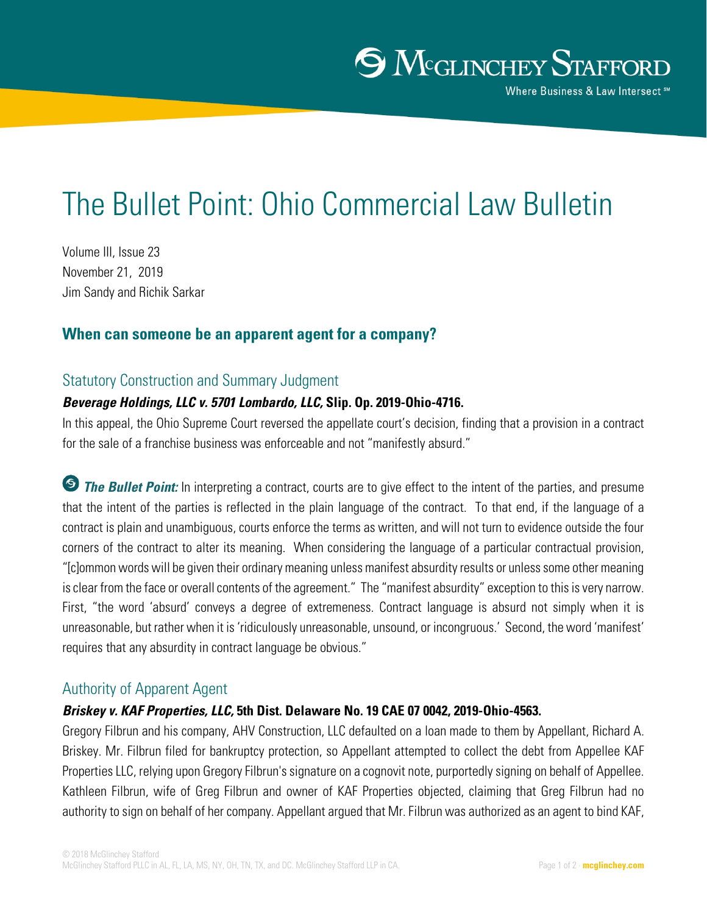# The Bullet Point: Ohio Commercial Law Bulletin

Volume III, Issue 23 November 21, 2019 Jim Sandy and Richik Sarkar

# **When can someone be an apparent agent for a company?**

# Statutory Construction and Summary Judgment

# *Beverage Holdings, LLC v. 5701 Lombardo, LLC,* **Slip. Op. 2019-Ohio-4716.**

In this appeal, the Ohio Supreme Court reversed the appellate court's decision, finding that a provision in a contract for the sale of a franchise business was enforceable and not "manifestly absurd."

**The Bullet Point:** In interpreting a contract, courts are to give effect to the intent of the parties, and presume that the intent of the parties is reflected in the plain language of the contract. To that end, if the language of a contract is plain and unambiguous, courts enforce the terms as written, and will not turn to evidence outside the four corners of the contract to alter its meaning. When considering the language of a particular contractual provision, "[c]ommon words will be given their ordinary meaning unless manifest absurdity results or unless some other meaning is clear from the face or overall contents of the agreement." The "manifest absurdity" exception to this is very narrow. First, "the word 'absurd' conveys a degree of extremeness. Contract language is absurd not simply when it is unreasonable, but rather when it is 'ridiculously unreasonable, unsound, or incongruous.' Second, the word 'manifest' requires that any absurdity in contract language be obvious."

# Authority of Apparent Agent

## *Briskey v. KAF Properties, LLC,* **5th Dist. Delaware No. 19 CAE 07 0042, 2019-Ohio-4563.**

Gregory Filbrun and his company, AHV Construction, LLC defaulted on a loan made to them by Appellant, Richard A. Briskey. Mr. Filbrun filed for bankruptcy protection, so Appellant attempted to collect the debt from Appellee KAF Properties LLC, relying upon Gregory Filbrun's signature on a cognovit note, purportedly signing on behalf of Appellee. Kathleen Filbrun, wife of Greg Filbrun and owner of KAF Properties objected, claiming that Greg Filbrun had no authority to sign on behalf of her company. Appellant argued that Mr. Filbrun was authorized as an agent to bind KAF,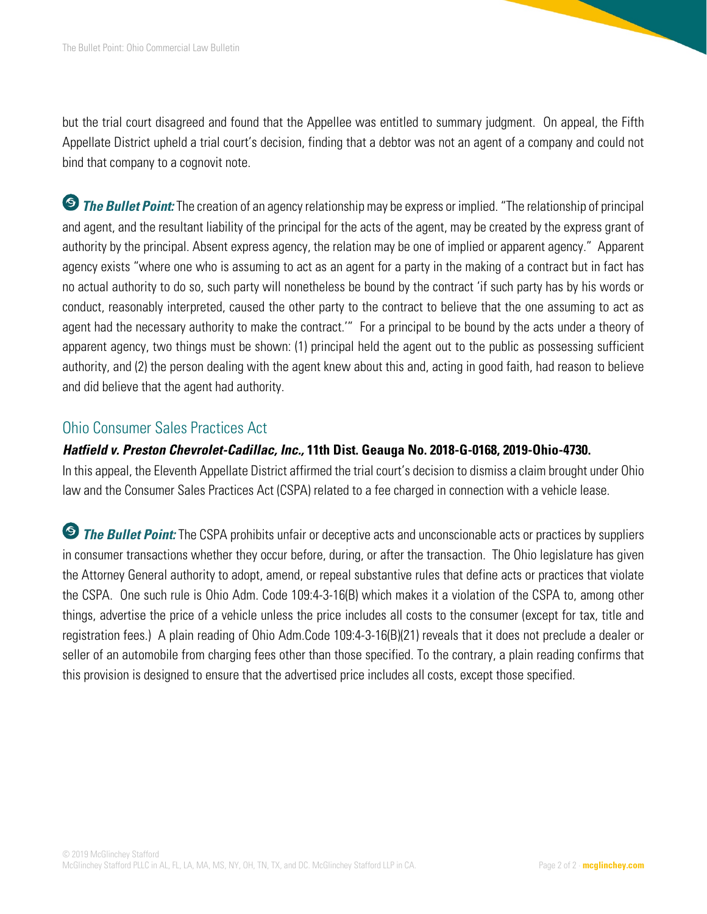but the trial court disagreed and found that the Appellee was entitled to summary judgment. On appeal, the Fifth Appellate District upheld a trial court's decision, finding that a debtor was not an agent of a company and could not bind that company to a cognovit note.

*The Bullet Point:* The creation of an agency relationship may be express or implied. "The relationship of principal and agent, and the resultant liability of the principal for the acts of the agent, may be created by the express grant of authority by the principal. Absent express agency, the relation may be one of implied or apparent agency." Apparent agency exists "where one who is assuming to act as an agent for a party in the making of a contract but in fact has no actual authority to do so, such party will nonetheless be bound by the contract 'if such party has by his words or conduct, reasonably interpreted, caused the other party to the contract to believe that the one assuming to act as agent had the necessary authority to make the contract.'" For a principal to be bound by the acts under a theory of apparent agency, two things must be shown: (1) principal held the agent out to the public as possessing sufficient authority, and (2) the person dealing with the agent knew about this and, acting in good faith, had reason to believe and did believe that the agent had authority.

# Ohio Consumer Sales Practices Act

# *Hatfield v. Preston Chevrolet-Cadillac, Inc.,* **11th Dist. Geauga No. 2018-G-0168, 2019-Ohio-4730.**

In this appeal, the Eleventh Appellate District affirmed the trial court's decision to dismiss a claim brought under Ohio law and the Consumer Sales Practices Act (CSPA) related to a fee charged in connection with a vehicle lease.

**The Bullet Point:** The CSPA prohibits unfair or deceptive acts and unconscionable acts or practices by suppliers in consumer transactions whether they occur before, during, or after the transaction. The Ohio legislature has given the Attorney General authority to adopt, amend, or repeal substantive rules that define acts or practices that violate the CSPA. One such rule is Ohio Adm. Code 109:4-3-16(B) which makes it a violation of the CSPA to, among other things, advertise the price of a vehicle unless the price includes all costs to the consumer (except for tax, title and registration fees.) A plain reading of Ohio Adm.Code 109:4-3-16(B)(21) reveals that it does not preclude a dealer or seller of an automobile from charging fees other than those specified. To the contrary, a plain reading confirms that this provision is designed to ensure that the advertised price includes all costs, except those specified.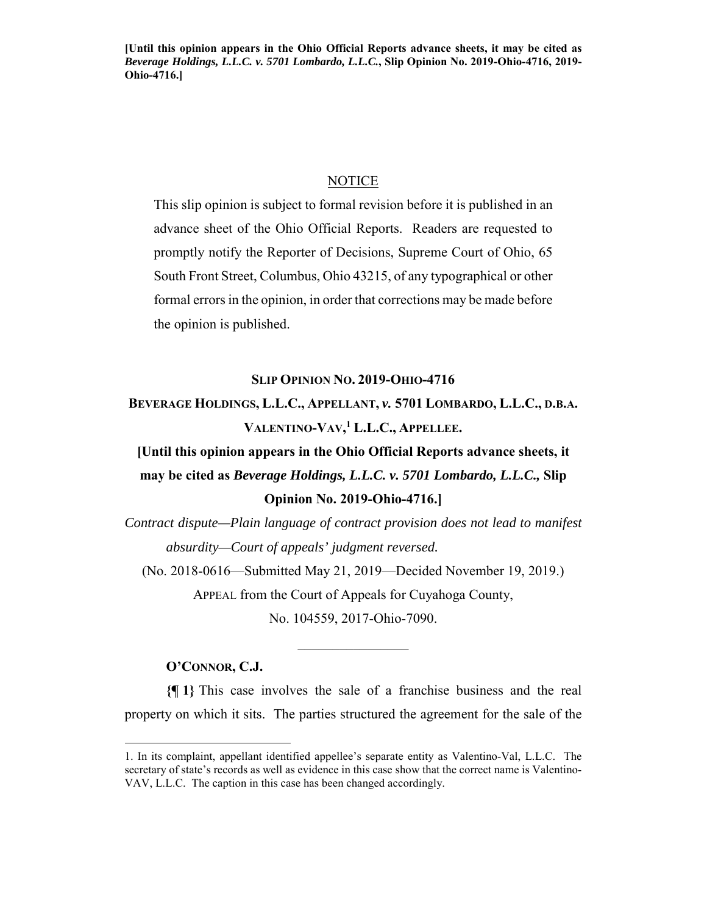**[Until this opinion appears in the Ohio Official Reports advance sheets, it may be cited as**  *Beverage Holdings, L.L.C. v. 5701 Lombardo, L.L.C.***, Slip Opinion No. 2019-Ohio-4716, 2019- Ohio-4716.]**

#### **NOTICE**

This slip opinion is subject to formal revision before it is published in an advance sheet of the Ohio Official Reports. Readers are requested to promptly notify the Reporter of Decisions, Supreme Court of Ohio, 65 South Front Street, Columbus, Ohio 43215, of any typographical or other formal errors in the opinion, in order that corrections may be made before the opinion is published.

## **SLIP OPINION NO. 2019-OHIO-4716**

**BEVERAGE HOLDINGS, L.L.C., APPELLANT,** *v.* **5701 LOMBARDO, L.L.C., D.B.A. VALENTINO-VAV, <sup>1</sup> L.L.C., APPELLEE.**

**[Until this opinion appears in the Ohio Official Reports advance sheets, it may be cited as** *Beverage Holdings, L.L.C. v. 5701 Lombardo, L.L.C.,* **Slip Opinion No. 2019-Ohio-4716.]** 

*Contract dispute—Plain language of contract provision does not lead to manifest absurdity—Court of appeals' judgment reversed.* 

(No. 2018-0616—Submitted May 21, 2019—Decided November 19, 2019.) APPEAL from the Court of Appeals for Cuyahoga County,

No. 104559, 2017-Ohio-7090.

#### **O'CONNOR, C.J.**

1

**{¶ 1}** This case involves the sale of a franchise business and the real property on which it sits. The parties structured the agreement for the sale of the

<sup>1.</sup> In its complaint, appellant identified appellee's separate entity as Valentino-Val, L.L.C. The secretary of state's records as well as evidence in this case show that the correct name is Valentino-VAV, L.L.C. The caption in this case has been changed accordingly.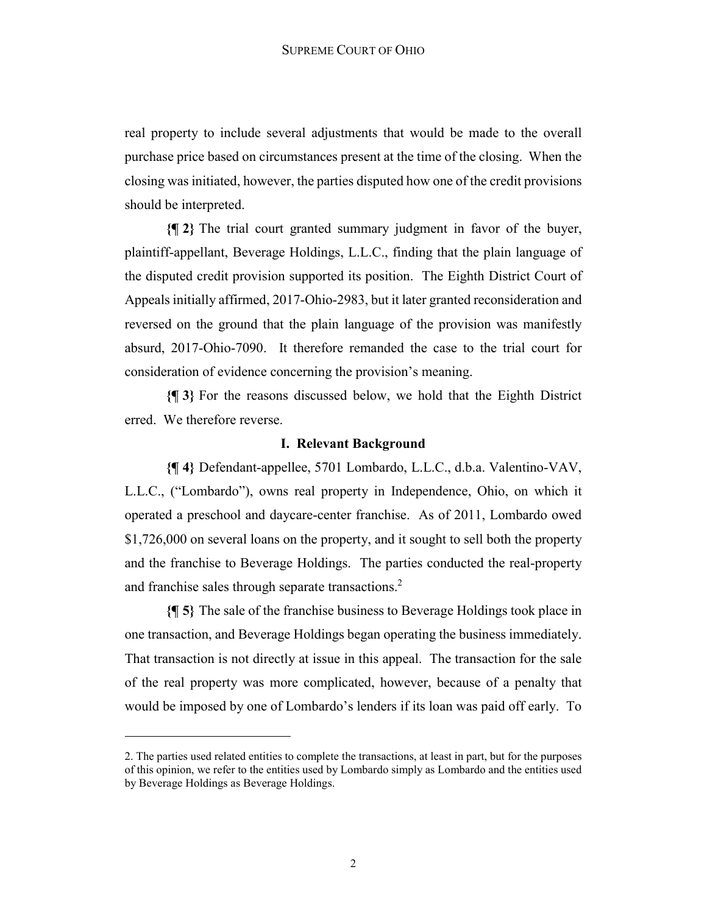real property to include several adjustments that would be made to the overall purchase price based on circumstances present at the time of the closing. When the closing was initiated, however, the parties disputed how one of the credit provisions should be interpreted.

**{¶ 2}** The trial court granted summary judgment in favor of the buyer, plaintiff-appellant, Beverage Holdings, L.L.C., finding that the plain language of the disputed credit provision supported its position. The Eighth District Court of Appeals initially affirmed, 2017-Ohio-2983, but it later granted reconsideration and reversed on the ground that the plain language of the provision was manifestly absurd, 2017-Ohio-7090. It therefore remanded the case to the trial court for consideration of evidence concerning the provision's meaning.

**{¶ 3}** For the reasons discussed below, we hold that the Eighth District erred. We therefore reverse.

## **I. Relevant Background**

**{¶ 4}** Defendant-appellee, 5701 Lombardo, L.L.C., d.b.a. Valentino-VAV, L.L.C., ("Lombardo"), owns real property in Independence, Ohio, on which it operated a preschool and daycare-center franchise. As of 2011, Lombardo owed \$1,726,000 on several loans on the property, and it sought to sell both the property and the franchise to Beverage Holdings. The parties conducted the real-property and franchise sales through separate transactions.<sup>2</sup>

**{¶ 5}** The sale of the franchise business to Beverage Holdings took place in one transaction, and Beverage Holdings began operating the business immediately. That transaction is not directly at issue in this appeal. The transaction for the sale of the real property was more complicated, however, because of a penalty that would be imposed by one of Lombardo's lenders if its loan was paid off early. To

1

<sup>2.</sup> The parties used related entities to complete the transactions, at least in part, but for the purposes of this opinion, we refer to the entities used by Lombardo simply as Lombardo and the entities used by Beverage Holdings as Beverage Holdings.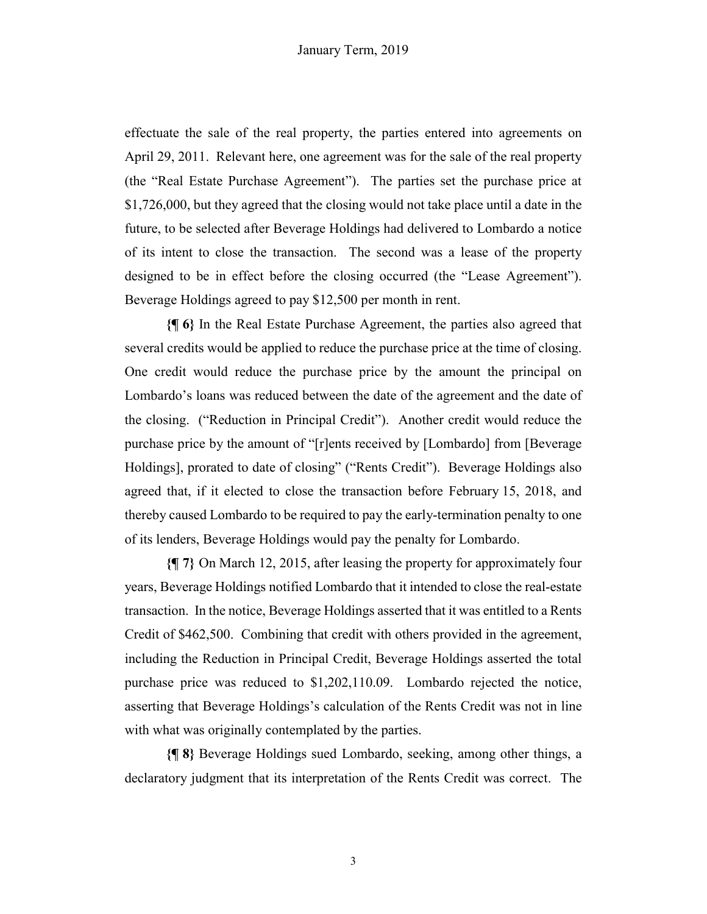effectuate the sale of the real property, the parties entered into agreements on April 29, 2011. Relevant here, one agreement was for the sale of the real property (the "Real Estate Purchase Agreement"). The parties set the purchase price at \$1,726,000, but they agreed that the closing would not take place until a date in the future, to be selected after Beverage Holdings had delivered to Lombardo a notice of its intent to close the transaction. The second was a lease of the property designed to be in effect before the closing occurred (the "Lease Agreement"). Beverage Holdings agreed to pay \$12,500 per month in rent.

**{¶ 6}** In the Real Estate Purchase Agreement, the parties also agreed that several credits would be applied to reduce the purchase price at the time of closing. One credit would reduce the purchase price by the amount the principal on Lombardo's loans was reduced between the date of the agreement and the date of the closing. ("Reduction in Principal Credit"). Another credit would reduce the purchase price by the amount of "[r]ents received by [Lombardo] from [Beverage Holdings], prorated to date of closing" ("Rents Credit"). Beverage Holdings also agreed that, if it elected to close the transaction before February 15, 2018, and thereby caused Lombardo to be required to pay the early-termination penalty to one of its lenders, Beverage Holdings would pay the penalty for Lombardo.

**{¶ 7}** On March 12, 2015, after leasing the property for approximately four years, Beverage Holdings notified Lombardo that it intended to close the real-estate transaction. In the notice, Beverage Holdings asserted that it was entitled to a Rents Credit of \$462,500. Combining that credit with others provided in the agreement, including the Reduction in Principal Credit, Beverage Holdings asserted the total purchase price was reduced to \$1,202,110.09. Lombardo rejected the notice, asserting that Beverage Holdings's calculation of the Rents Credit was not in line with what was originally contemplated by the parties.

**{¶ 8}** Beverage Holdings sued Lombardo, seeking, among other things, a declaratory judgment that its interpretation of the Rents Credit was correct. The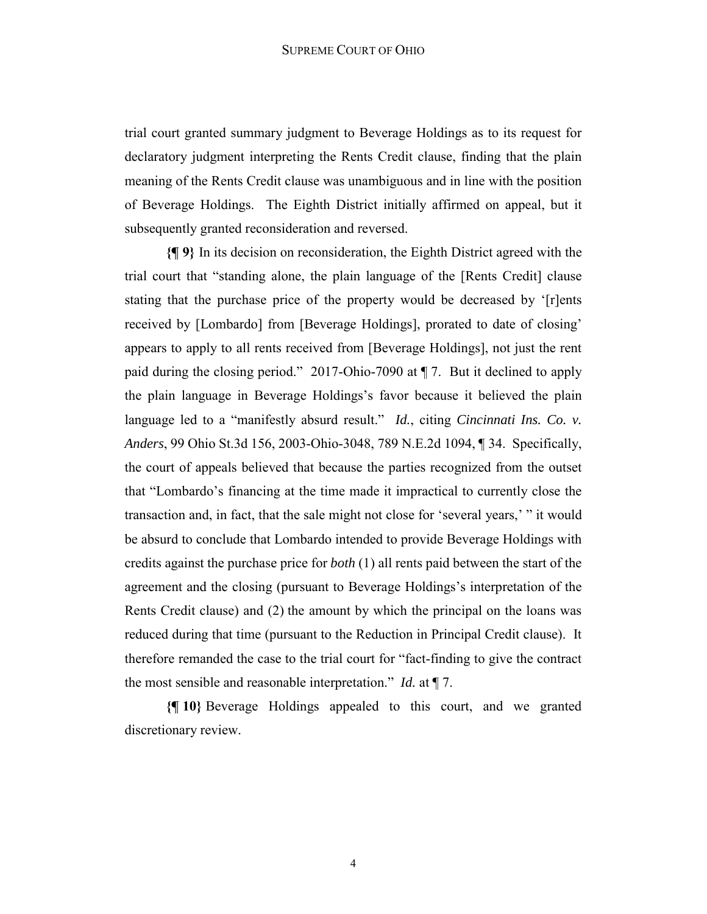trial court granted summary judgment to Beverage Holdings as to its request for declaratory judgment interpreting the Rents Credit clause, finding that the plain meaning of the Rents Credit clause was unambiguous and in line with the position of Beverage Holdings. The Eighth District initially affirmed on appeal, but it subsequently granted reconsideration and reversed.

**{¶ 9}** In its decision on reconsideration, the Eighth District agreed with the trial court that "standing alone, the plain language of the [Rents Credit] clause stating that the purchase price of the property would be decreased by '[r]ents received by [Lombardo] from [Beverage Holdings], prorated to date of closing' appears to apply to all rents received from [Beverage Holdings], not just the rent paid during the closing period." 2017-Ohio-7090 at ¶ 7. But it declined to apply the plain language in Beverage Holdings's favor because it believed the plain language led to a "manifestly absurd result." *Id.*, citing *Cincinnati Ins. Co. v. Anders*, 99 Ohio St.3d 156, 2003-Ohio-3048, 789 N.E.2d 1094, ¶ 34. Specifically, the court of appeals believed that because the parties recognized from the outset that "Lombardo's financing at the time made it impractical to currently close the transaction and, in fact, that the sale might not close for 'several years,' " it would be absurd to conclude that Lombardo intended to provide Beverage Holdings with credits against the purchase price for *both* (1) all rents paid between the start of the agreement and the closing (pursuant to Beverage Holdings's interpretation of the Rents Credit clause) and (2) the amount by which the principal on the loans was reduced during that time (pursuant to the Reduction in Principal Credit clause). It therefore remanded the case to the trial court for "fact-finding to give the contract the most sensible and reasonable interpretation." *Id.* at ¶ 7.

**{¶ 10}** Beverage Holdings appealed to this court, and we granted discretionary review.

4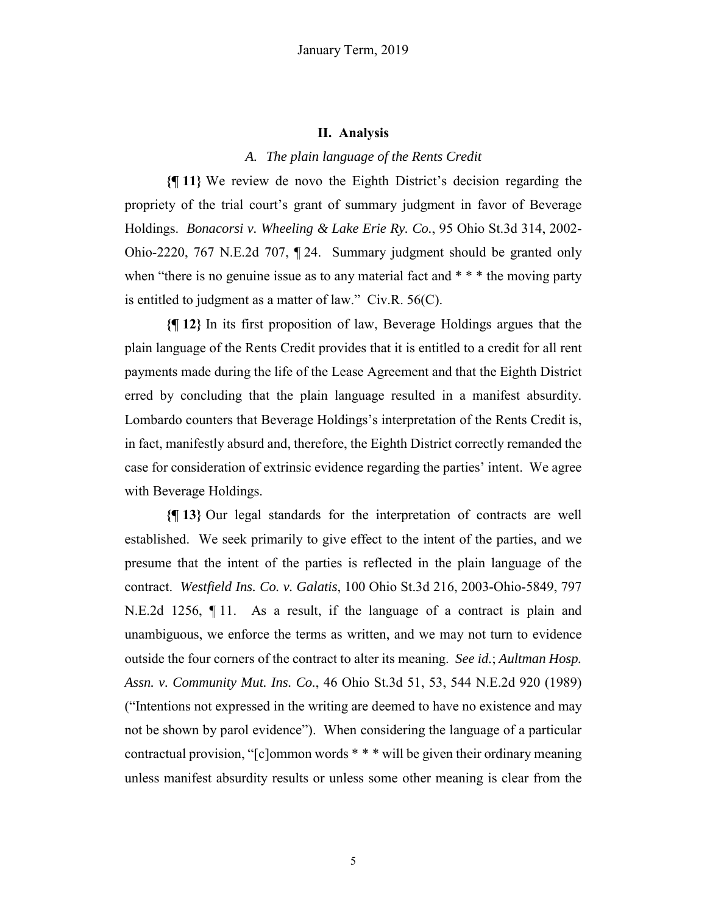#### **II. Analysis**

#### *A. The plain language of the Rents Credit*

**{¶ 11}** We review de novo the Eighth District's decision regarding the propriety of the trial court's grant of summary judgment in favor of Beverage Holdings. *Bonacorsi v. Wheeling & Lake Erie Ry. Co.*, 95 Ohio St.3d 314, 2002- Ohio-2220, 767 N.E.2d 707, ¶ 24. Summary judgment should be granted only when "there is no genuine issue as to any material fact and \* \* \* the moving party is entitled to judgment as a matter of law." Civ.R. 56(C).

**{¶ 12}** In its first proposition of law, Beverage Holdings argues that the plain language of the Rents Credit provides that it is entitled to a credit for all rent payments made during the life of the Lease Agreement and that the Eighth District erred by concluding that the plain language resulted in a manifest absurdity. Lombardo counters that Beverage Holdings's interpretation of the Rents Credit is, in fact, manifestly absurd and, therefore, the Eighth District correctly remanded the case for consideration of extrinsic evidence regarding the parties' intent. We agree with Beverage Holdings.

**{¶ 13}** Our legal standards for the interpretation of contracts are well established. We seek primarily to give effect to the intent of the parties, and we presume that the intent of the parties is reflected in the plain language of the contract. *Westfield Ins. Co. v. Galatis*, 100 Ohio St.3d 216, 2003-Ohio-5849, 797 N.E.2d 1256, ¶ 11. As a result, if the language of a contract is plain and unambiguous, we enforce the terms as written, and we may not turn to evidence outside the four corners of the contract to alter its meaning. *See id.*; *Aultman Hosp. Assn. v. Community Mut. Ins. Co.*, 46 Ohio St.3d 51, 53, 544 N.E.2d 920 (1989) ("Intentions not expressed in the writing are deemed to have no existence and may not be shown by parol evidence"). When considering the language of a particular contractual provision, "[c]ommon words \* \* \* will be given their ordinary meaning unless manifest absurdity results or unless some other meaning is clear from the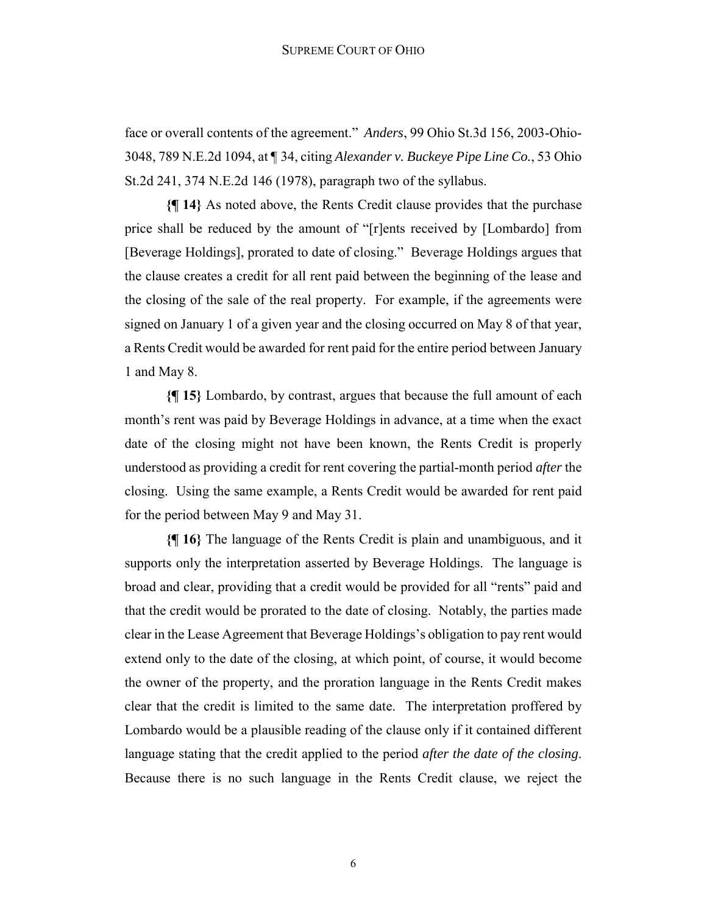face or overall contents of the agreement." *Anders*, 99 Ohio St.3d 156, 2003-Ohio-3048, 789 N.E.2d 1094, at ¶ 34, citing *Alexander v. Buckeye Pipe Line Co.*, 53 Ohio St.2d 241, 374 N.E.2d 146 (1978), paragraph two of the syllabus.

**{¶ 14}** As noted above, the Rents Credit clause provides that the purchase price shall be reduced by the amount of "[r]ents received by [Lombardo] from [Beverage Holdings], prorated to date of closing." Beverage Holdings argues that the clause creates a credit for all rent paid between the beginning of the lease and the closing of the sale of the real property. For example, if the agreements were signed on January 1 of a given year and the closing occurred on May 8 of that year, a Rents Credit would be awarded for rent paid for the entire period between January 1 and May 8.

**{¶ 15}** Lombardo, by contrast, argues that because the full amount of each month's rent was paid by Beverage Holdings in advance, at a time when the exact date of the closing might not have been known, the Rents Credit is properly understood as providing a credit for rent covering the partial-month period *after* the closing. Using the same example, a Rents Credit would be awarded for rent paid for the period between May 9 and May 31.

**{¶ 16}** The language of the Rents Credit is plain and unambiguous, and it supports only the interpretation asserted by Beverage Holdings. The language is broad and clear, providing that a credit would be provided for all "rents" paid and that the credit would be prorated to the date of closing. Notably, the parties made clear in the Lease Agreement that Beverage Holdings's obligation to pay rent would extend only to the date of the closing, at which point, of course, it would become the owner of the property, and the proration language in the Rents Credit makes clear that the credit is limited to the same date. The interpretation proffered by Lombardo would be a plausible reading of the clause only if it contained different language stating that the credit applied to the period *after the date of the closing*. Because there is no such language in the Rents Credit clause, we reject the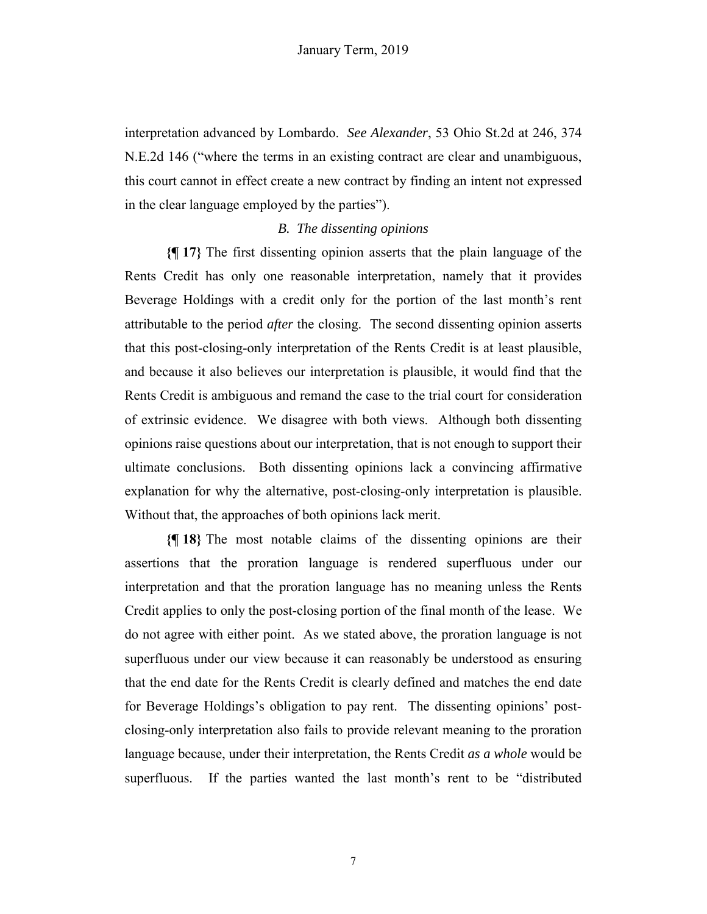interpretation advanced by Lombardo. *See Alexander*, 53 Ohio St.2d at 246, 374 N.E.2d 146 ("where the terms in an existing contract are clear and unambiguous, this court cannot in effect create a new contract by finding an intent not expressed in the clear language employed by the parties").

## *B. The dissenting opinions*

**{¶ 17}** The first dissenting opinion asserts that the plain language of the Rents Credit has only one reasonable interpretation, namely that it provides Beverage Holdings with a credit only for the portion of the last month's rent attributable to the period *after* the closing. The second dissenting opinion asserts that this post-closing-only interpretation of the Rents Credit is at least plausible, and because it also believes our interpretation is plausible, it would find that the Rents Credit is ambiguous and remand the case to the trial court for consideration of extrinsic evidence. We disagree with both views. Although both dissenting opinions raise questions about our interpretation, that is not enough to support their ultimate conclusions. Both dissenting opinions lack a convincing affirmative explanation for why the alternative, post-closing-only interpretation is plausible. Without that, the approaches of both opinions lack merit.

**{¶ 18}** The most notable claims of the dissenting opinions are their assertions that the proration language is rendered superfluous under our interpretation and that the proration language has no meaning unless the Rents Credit applies to only the post-closing portion of the final month of the lease. We do not agree with either point. As we stated above, the proration language is not superfluous under our view because it can reasonably be understood as ensuring that the end date for the Rents Credit is clearly defined and matches the end date for Beverage Holdings's obligation to pay rent. The dissenting opinions' postclosing-only interpretation also fails to provide relevant meaning to the proration language because, under their interpretation, the Rents Credit *as a whole* would be superfluous. If the parties wanted the last month's rent to be "distributed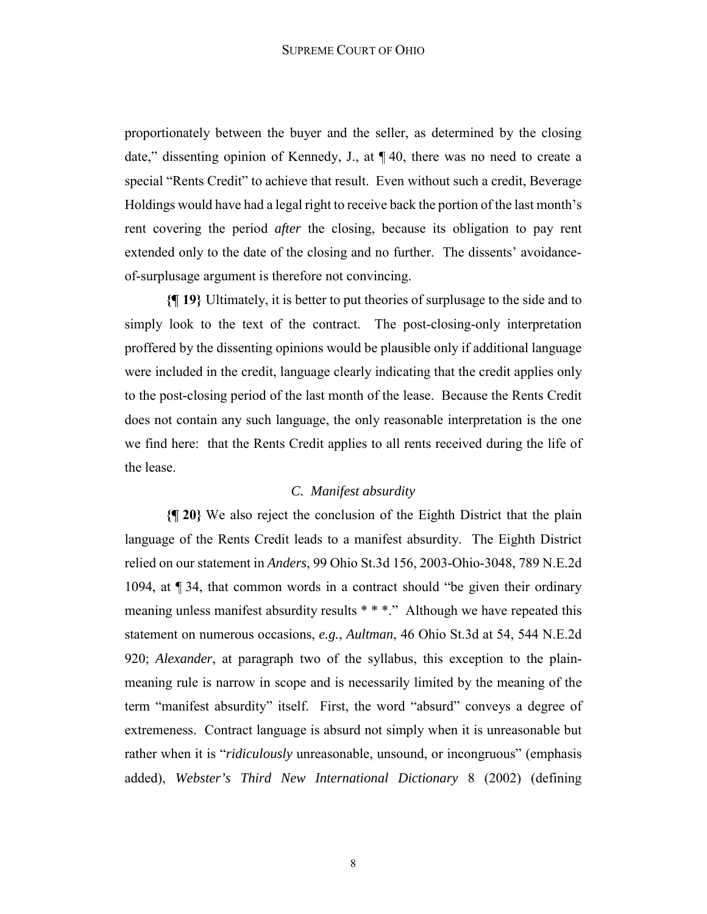proportionately between the buyer and the seller, as determined by the closing date," dissenting opinion of Kennedy, J., at ¶ 40, there was no need to create a special "Rents Credit" to achieve that result. Even without such a credit, Beverage Holdings would have had a legal right to receive back the portion of the last month's rent covering the period *after* the closing, because its obligation to pay rent extended only to the date of the closing and no further. The dissents' avoidanceof-surplusage argument is therefore not convincing.

**{¶ 19}** Ultimately, it is better to put theories of surplusage to the side and to simply look to the text of the contract. The post-closing-only interpretation proffered by the dissenting opinions would be plausible only if additional language were included in the credit, language clearly indicating that the credit applies only to the post-closing period of the last month of the lease. Because the Rents Credit does not contain any such language, the only reasonable interpretation is the one we find here: that the Rents Credit applies to all rents received during the life of the lease.

## *C. Manifest absurdity*

**{¶ 20}** We also reject the conclusion of the Eighth District that the plain language of the Rents Credit leads to a manifest absurdity. The Eighth District relied on our statement in *Anders*, 99 Ohio St.3d 156, 2003-Ohio-3048, 789 N.E.2d 1094, at ¶ 34, that common words in a contract should "be given their ordinary meaning unless manifest absurdity results \* \* \*." Although we have repeated this statement on numerous occasions, *e.g.*, *Aultman*, 46 Ohio St.3d at 54, 544 N.E.2d 920; *Alexander*, at paragraph two of the syllabus, this exception to the plainmeaning rule is narrow in scope and is necessarily limited by the meaning of the term "manifest absurdity" itself. First, the word "absurd" conveys a degree of extremeness. Contract language is absurd not simply when it is unreasonable but rather when it is "*ridiculously* unreasonable, unsound, or incongruous" (emphasis added), *Webster's Third New International Dictionary* 8 (2002) (defining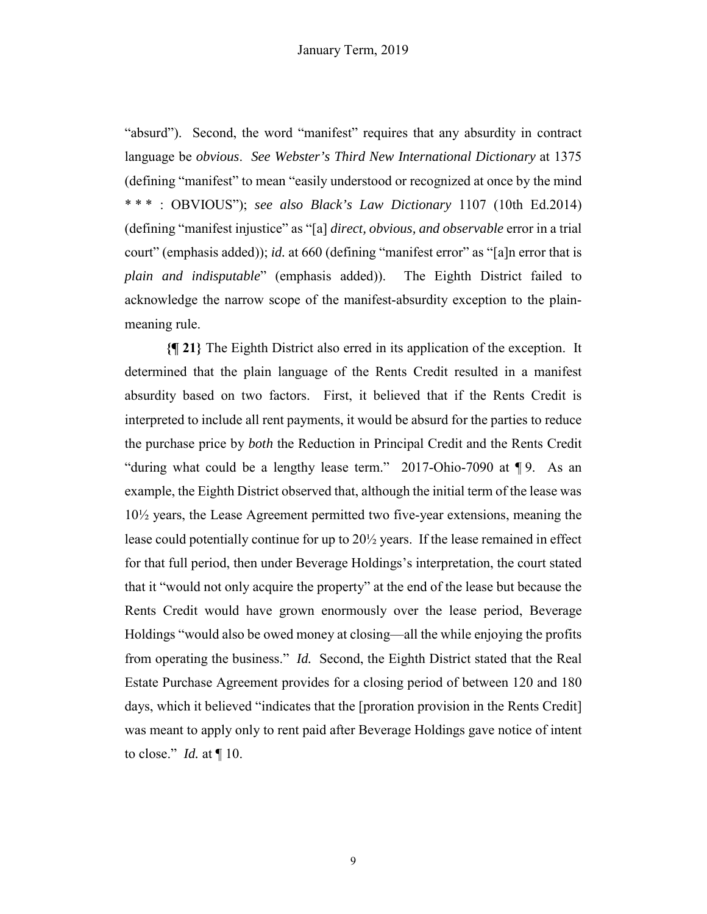"absurd"). Second, the word "manifest" requires that any absurdity in contract language be *obvious*. *See Webster's Third New International Dictionary* at 1375 (defining "manifest" to mean "easily understood or recognized at once by the mind \* \* \* : OBVIOUS"); *see also Black's Law Dictionary* 1107 (10th Ed.2014) (defining "manifest injustice" as "[a] *direct, obvious, and observable* error in a trial court" (emphasis added)); *id.* at 660 (defining "manifest error" as "[a]n error that is *plain and indisputable*" (emphasis added)). The Eighth District failed to acknowledge the narrow scope of the manifest-absurdity exception to the plainmeaning rule.

**{¶ 21}** The Eighth District also erred in its application of the exception. It determined that the plain language of the Rents Credit resulted in a manifest absurdity based on two factors. First, it believed that if the Rents Credit is interpreted to include all rent payments, it would be absurd for the parties to reduce the purchase price by *both* the Reduction in Principal Credit and the Rents Credit "during what could be a lengthy lease term." 2017-Ohio-7090 at ¶ 9. As an example, the Eighth District observed that, although the initial term of the lease was 10½ years, the Lease Agreement permitted two five-year extensions, meaning the lease could potentially continue for up to 20½ years. If the lease remained in effect for that full period, then under Beverage Holdings's interpretation, the court stated that it "would not only acquire the property" at the end of the lease but because the Rents Credit would have grown enormously over the lease period, Beverage Holdings "would also be owed money at closing—all the while enjoying the profits from operating the business." *Id.* Second, the Eighth District stated that the Real Estate Purchase Agreement provides for a closing period of between 120 and 180 days, which it believed "indicates that the [proration provision in the Rents Credit] was meant to apply only to rent paid after Beverage Holdings gave notice of intent to close." *Id.* at ¶ 10.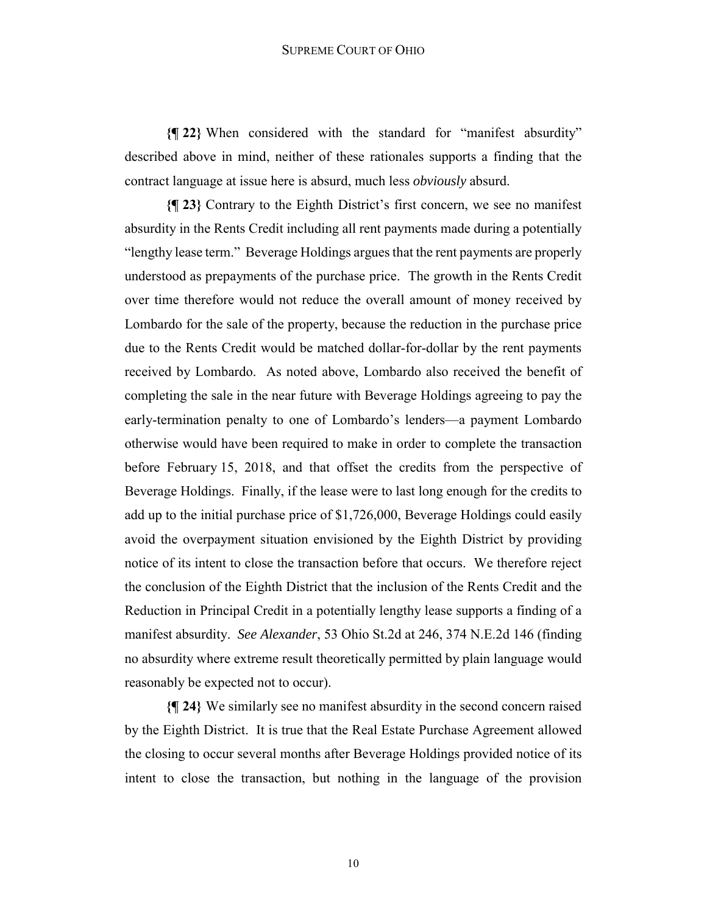**{¶ 22}** When considered with the standard for "manifest absurdity" described above in mind, neither of these rationales supports a finding that the contract language at issue here is absurd, much less *obviously* absurd.

**{¶ 23}** Contrary to the Eighth District's first concern, we see no manifest absurdity in the Rents Credit including all rent payments made during a potentially "lengthy lease term." Beverage Holdings argues that the rent payments are properly understood as prepayments of the purchase price. The growth in the Rents Credit over time therefore would not reduce the overall amount of money received by Lombardo for the sale of the property, because the reduction in the purchase price due to the Rents Credit would be matched dollar-for-dollar by the rent payments received by Lombardo. As noted above, Lombardo also received the benefit of completing the sale in the near future with Beverage Holdings agreeing to pay the early-termination penalty to one of Lombardo's lenders—a payment Lombardo otherwise would have been required to make in order to complete the transaction before February 15, 2018, and that offset the credits from the perspective of Beverage Holdings. Finally, if the lease were to last long enough for the credits to add up to the initial purchase price of \$1,726,000, Beverage Holdings could easily avoid the overpayment situation envisioned by the Eighth District by providing notice of its intent to close the transaction before that occurs. We therefore reject the conclusion of the Eighth District that the inclusion of the Rents Credit and the Reduction in Principal Credit in a potentially lengthy lease supports a finding of a manifest absurdity. *See Alexander*, 53 Ohio St.2d at 246, 374 N.E.2d 146 (finding no absurdity where extreme result theoretically permitted by plain language would reasonably be expected not to occur).

**{¶ 24}** We similarly see no manifest absurdity in the second concern raised by the Eighth District. It is true that the Real Estate Purchase Agreement allowed the closing to occur several months after Beverage Holdings provided notice of its intent to close the transaction, but nothing in the language of the provision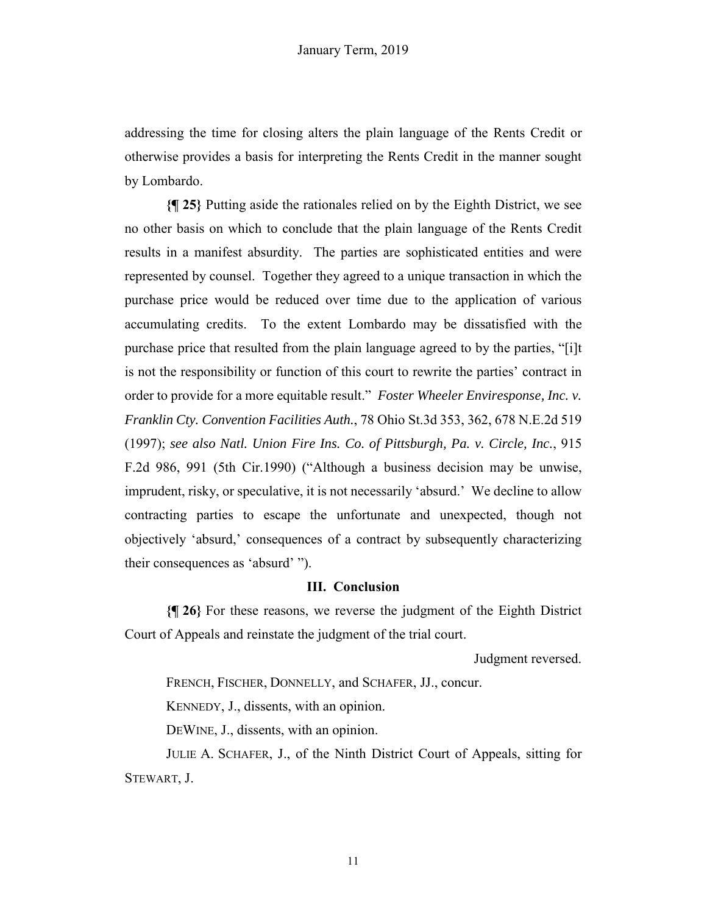addressing the time for closing alters the plain language of the Rents Credit or otherwise provides a basis for interpreting the Rents Credit in the manner sought by Lombardo.

**{¶ 25}** Putting aside the rationales relied on by the Eighth District, we see no other basis on which to conclude that the plain language of the Rents Credit results in a manifest absurdity. The parties are sophisticated entities and were represented by counsel. Together they agreed to a unique transaction in which the purchase price would be reduced over time due to the application of various accumulating credits. To the extent Lombardo may be dissatisfied with the purchase price that resulted from the plain language agreed to by the parties, "[i]t is not the responsibility or function of this court to rewrite the parties' contract in order to provide for a more equitable result." *Foster Wheeler Enviresponse, Inc. v. Franklin Cty. Convention Facilities Auth.*, 78 Ohio St.3d 353, 362, 678 N.E.2d 519 (1997); *see also Natl. Union Fire Ins. Co. of Pittsburgh, Pa. v. Circle, Inc.*, 915 F.2d 986, 991 (5th Cir.1990) ("Although a business decision may be unwise, imprudent, risky, or speculative, it is not necessarily 'absurd.' We decline to allow contracting parties to escape the unfortunate and unexpected, though not objectively 'absurd,' consequences of a contract by subsequently characterizing their consequences as 'absurd' ").

## **III. Conclusion**

**{¶ 26}** For these reasons, we reverse the judgment of the Eighth District Court of Appeals and reinstate the judgment of the trial court.

Judgment reversed.

FRENCH, FISCHER, DONNELLY, and SCHAFER, JJ., concur.

KENNEDY, J., dissents, with an opinion.

DEWINE, J., dissents, with an opinion.

JULIE A. SCHAFER, J., of the Ninth District Court of Appeals, sitting for STEWART, J.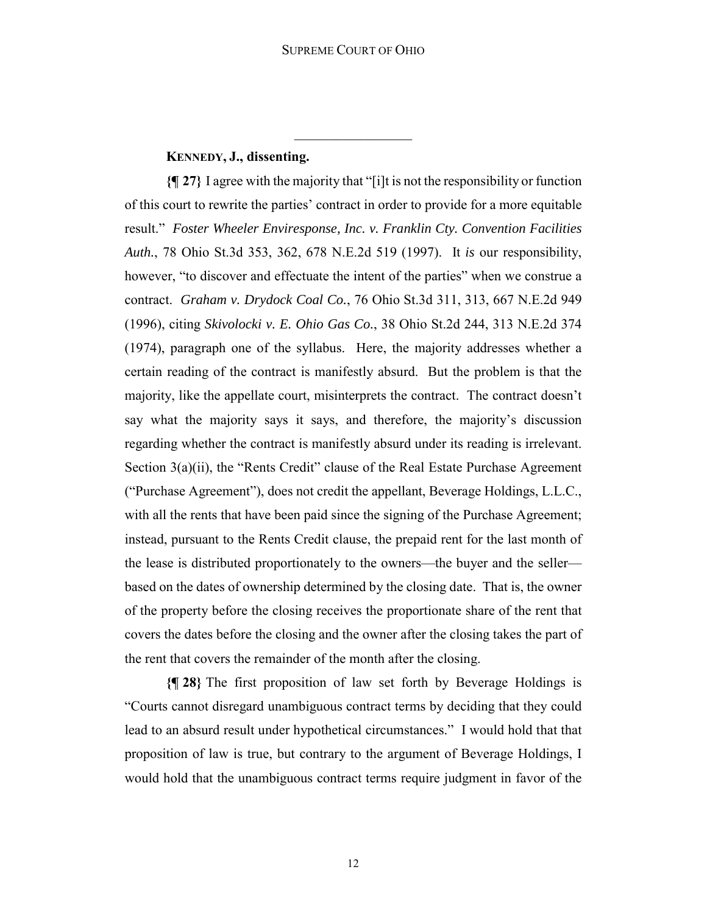## **KENNEDY, J., dissenting.**

**{¶ 27}** I agree with the majority that "[i]t is not the responsibility or function of this court to rewrite the parties' contract in order to provide for a more equitable result." *Foster Wheeler Enviresponse, Inc. v. Franklin Cty. Convention Facilities Auth.*, 78 Ohio St.3d 353, 362, 678 N.E.2d 519 (1997). It *is* our responsibility, however, "to discover and effectuate the intent of the parties" when we construe a contract. *Graham v. Drydock Coal Co.*, 76 Ohio St.3d 311, 313, 667 N.E.2d 949 (1996), citing *Skivolocki v. E. Ohio Gas Co.*, 38 Ohio St.2d 244, 313 N.E.2d 374 (1974), paragraph one of the syllabus. Here, the majority addresses whether a certain reading of the contract is manifestly absurd. But the problem is that the majority, like the appellate court, misinterprets the contract. The contract doesn't say what the majority says it says, and therefore, the majority's discussion regarding whether the contract is manifestly absurd under its reading is irrelevant. Section 3(a)(ii), the "Rents Credit" clause of the Real Estate Purchase Agreement ("Purchase Agreement"), does not credit the appellant, Beverage Holdings, L.L.C., with all the rents that have been paid since the signing of the Purchase Agreement; instead, pursuant to the Rents Credit clause, the prepaid rent for the last month of the lease is distributed proportionately to the owners—the buyer and the seller based on the dates of ownership determined by the closing date. That is, the owner of the property before the closing receives the proportionate share of the rent that covers the dates before the closing and the owner after the closing takes the part of the rent that covers the remainder of the month after the closing.

**{¶ 28}** The first proposition of law set forth by Beverage Holdings is "Courts cannot disregard unambiguous contract terms by deciding that they could lead to an absurd result under hypothetical circumstances." I would hold that that proposition of law is true, but contrary to the argument of Beverage Holdings, I would hold that the unambiguous contract terms require judgment in favor of the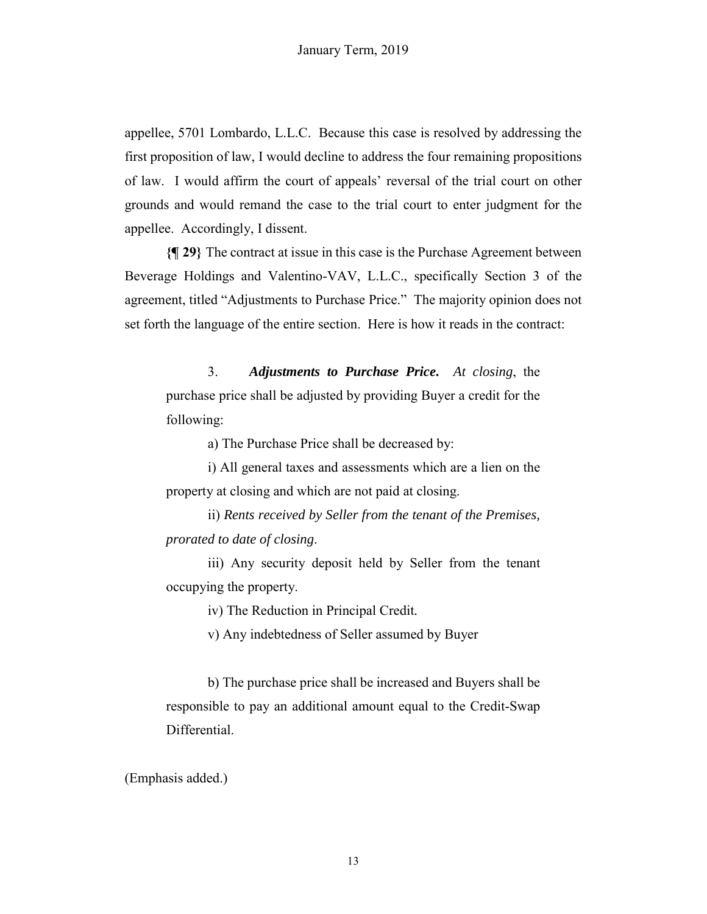appellee, 5701 Lombardo, L.L.C. Because this case is resolved by addressing the first proposition of law, I would decline to address the four remaining propositions of law. I would affirm the court of appeals' reversal of the trial court on other grounds and would remand the case to the trial court to enter judgment for the appellee. Accordingly, I dissent.

**{¶ 29}** The contract at issue in this case is the Purchase Agreement between Beverage Holdings and Valentino-VAV, L.L.C., specifically Section 3 of the agreement, titled "Adjustments to Purchase Price." The majority opinion does not set forth the language of the entire section. Here is how it reads in the contract:

3. *Adjustments to Purchase Price***.** *At closing*, the purchase price shall be adjusted by providing Buyer a credit for the following:

a) The Purchase Price shall be decreased by:

i) All general taxes and assessments which are a lien on the property at closing and which are not paid at closing.

ii) *Rents received by Seller from the tenant of the Premises, prorated to date of closing*.

iii) Any security deposit held by Seller from the tenant occupying the property.

iv) The Reduction in Principal Credit*.*

v) Any indebtedness of Seller assumed by Buyer

b) The purchase price shall be increased and Buyers shall be responsible to pay an additional amount equal to the Credit-Swap Differential.

(Emphasis added.)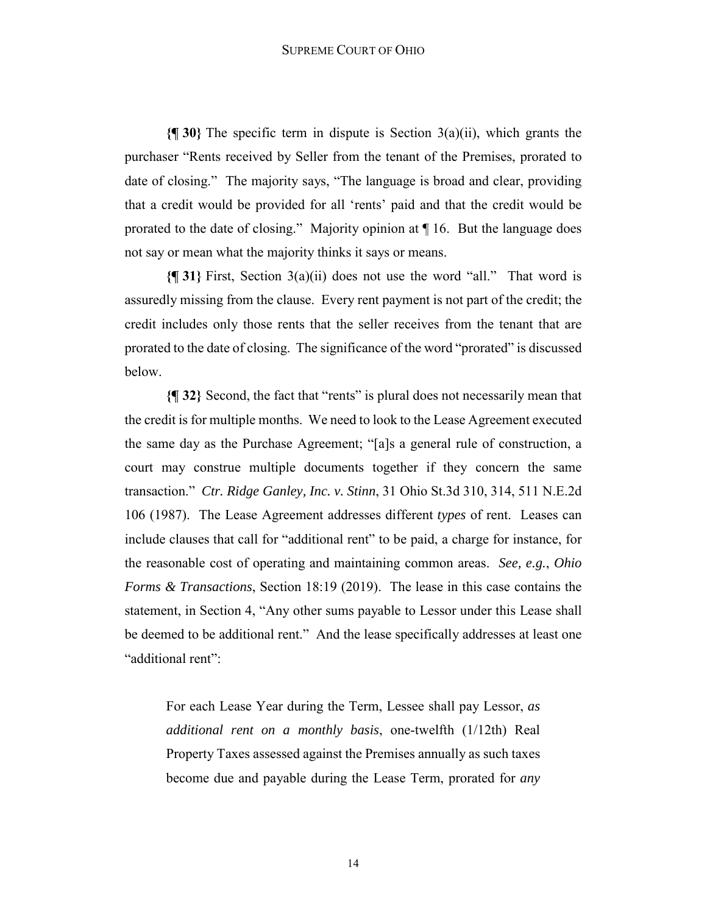**{¶ 30}** The specific term in dispute is Section 3(a)(ii), which grants the purchaser "Rents received by Seller from the tenant of the Premises, prorated to date of closing." The majority says, "The language is broad and clear, providing that a credit would be provided for all 'rents' paid and that the credit would be prorated to the date of closing." Majority opinion at ¶ 16. But the language does not say or mean what the majority thinks it says or means.

**{¶ 31}** First, Section 3(a)(ii) does not use the word "all." That word is assuredly missing from the clause. Every rent payment is not part of the credit; the credit includes only those rents that the seller receives from the tenant that are prorated to the date of closing. The significance of the word "prorated" is discussed below.

**{¶ 32}** Second, the fact that "rents" is plural does not necessarily mean that the credit is for multiple months. We need to look to the Lease Agreement executed the same day as the Purchase Agreement; "[a]s a general rule of construction, a court may construe multiple documents together if they concern the same transaction." *Ctr. Ridge Ganley, Inc. v. Stinn*, 31 Ohio St.3d 310, 314, 511 N.E.2d 106 (1987). The Lease Agreement addresses different *types* of rent. Leases can include clauses that call for "additional rent" to be paid, a charge for instance, for the reasonable cost of operating and maintaining common areas. *See, e.g.*, *Ohio Forms & Transactions*, Section 18:19 (2019). The lease in this case contains the statement, in Section 4, "Any other sums payable to Lessor under this Lease shall be deemed to be additional rent." And the lease specifically addresses at least one "additional rent":

For each Lease Year during the Term, Lessee shall pay Lessor, *as additional rent on a monthly basis*, one-twelfth (1/12th) Real Property Taxes assessed against the Premises annually as such taxes become due and payable during the Lease Term, prorated for *any*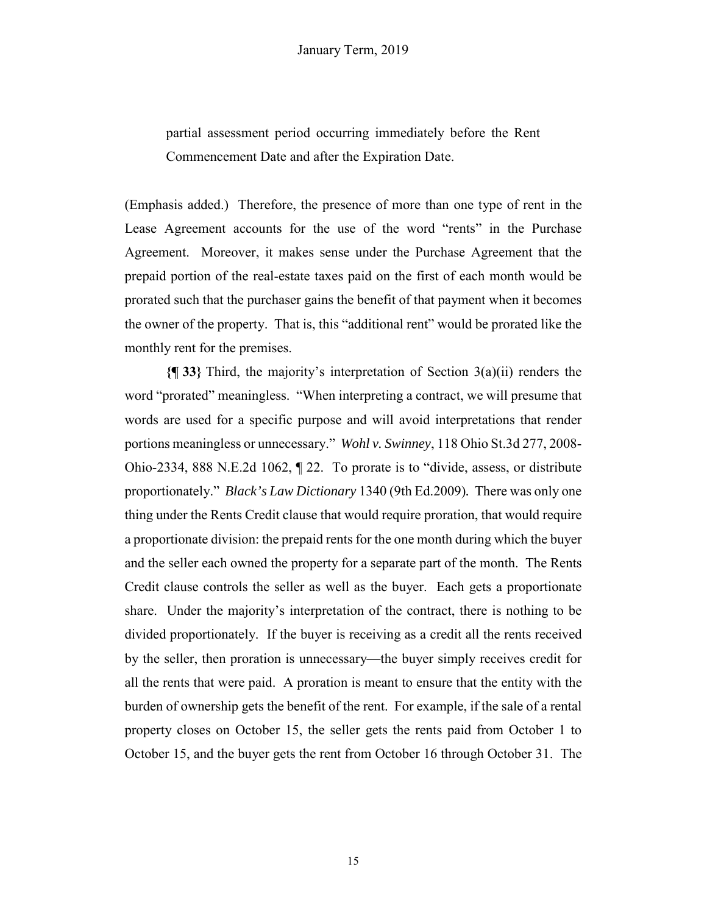partial assessment period occurring immediately before the Rent Commencement Date and after the Expiration Date.

(Emphasis added.) Therefore, the presence of more than one type of rent in the Lease Agreement accounts for the use of the word "rents" in the Purchase Agreement. Moreover, it makes sense under the Purchase Agreement that the prepaid portion of the real-estate taxes paid on the first of each month would be prorated such that the purchaser gains the benefit of that payment when it becomes the owner of the property. That is, this "additional rent" would be prorated like the monthly rent for the premises.

**{¶ 33}** Third, the majority's interpretation of Section 3(a)(ii) renders the word "prorated" meaningless. "When interpreting a contract, we will presume that words are used for a specific purpose and will avoid interpretations that render portions meaningless or unnecessary." *Wohl v. Swinney*, 118 Ohio St.3d 277, 2008- Ohio-2334, 888 N.E.2d 1062, ¶ 22. To prorate is to "divide, assess, or distribute proportionately." *Black's Law Dictionary* 1340 (9th Ed.2009)*.* There was only one thing under the Rents Credit clause that would require proration, that would require a proportionate division: the prepaid rents for the one month during which the buyer and the seller each owned the property for a separate part of the month. The Rents Credit clause controls the seller as well as the buyer. Each gets a proportionate share. Under the majority's interpretation of the contract, there is nothing to be divided proportionately. If the buyer is receiving as a credit all the rents received by the seller, then proration is unnecessary—the buyer simply receives credit for all the rents that were paid. A proration is meant to ensure that the entity with the burden of ownership gets the benefit of the rent. For example, if the sale of a rental property closes on October 15, the seller gets the rents paid from October 1 to October 15, and the buyer gets the rent from October 16 through October 31. The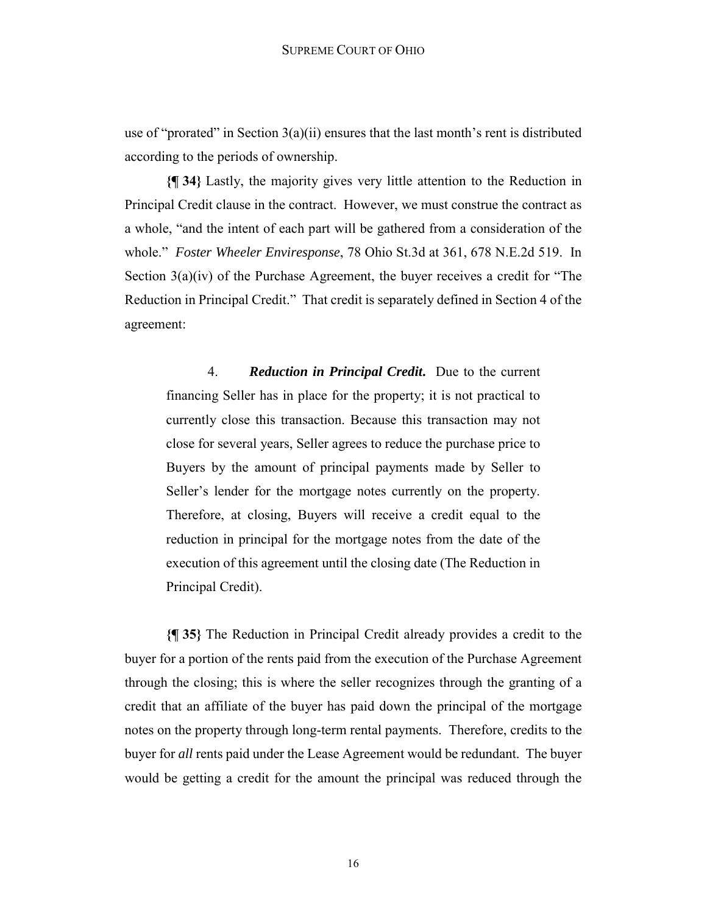use of "prorated" in Section  $3(a)(ii)$  ensures that the last month's rent is distributed according to the periods of ownership.

**{¶ 34}** Lastly, the majority gives very little attention to the Reduction in Principal Credit clause in the contract. However, we must construe the contract as a whole, "and the intent of each part will be gathered from a consideration of the whole." *Foster Wheeler Enviresponse*, 78 Ohio St.3d at 361, 678 N.E.2d 519. In Section 3(a)(iv) of the Purchase Agreement, the buyer receives a credit for "The Reduction in Principal Credit." That credit is separately defined in Section 4 of the agreement:

4. *Reduction in Principal Credit***.** Due to the current financing Seller has in place for the property; it is not practical to currently close this transaction. Because this transaction may not close for several years, Seller agrees to reduce the purchase price to Buyers by the amount of principal payments made by Seller to Seller's lender for the mortgage notes currently on the property. Therefore, at closing, Buyers will receive a credit equal to the reduction in principal for the mortgage notes from the date of the execution of this agreement until the closing date (The Reduction in Principal Credit).

**{¶ 35}** The Reduction in Principal Credit already provides a credit to the buyer for a portion of the rents paid from the execution of the Purchase Agreement through the closing; this is where the seller recognizes through the granting of a credit that an affiliate of the buyer has paid down the principal of the mortgage notes on the property through long-term rental payments. Therefore, credits to the buyer for *all* rents paid under the Lease Agreement would be redundant. The buyer would be getting a credit for the amount the principal was reduced through the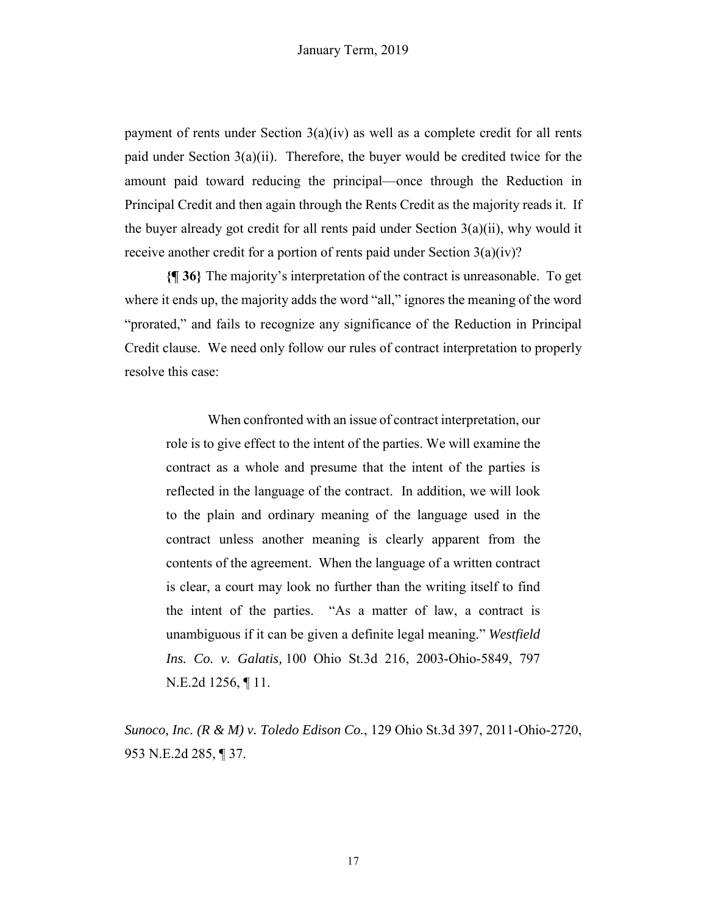payment of rents under Section 3(a)(iv) as well as a complete credit for all rents paid under Section 3(a)(ii). Therefore, the buyer would be credited twice for the amount paid toward reducing the principal—once through the Reduction in Principal Credit and then again through the Rents Credit as the majority reads it. If the buyer already got credit for all rents paid under Section 3(a)(ii), why would it receive another credit for a portion of rents paid under Section 3(a)(iv)?

**{¶ 36}** The majority's interpretation of the contract is unreasonable. To get where it ends up, the majority adds the word "all," ignores the meaning of the word "prorated," and fails to recognize any significance of the Reduction in Principal Credit clause. We need only follow our rules of contract interpretation to properly resolve this case:

When confronted with an issue of contract interpretation, our role is to give effect to the intent of the parties. We will examine the contract as a whole and presume that the intent of the parties is reflected in the language of the contract. In addition, we will look to the plain and ordinary meaning of the language used in the contract unless another meaning is clearly apparent from the contents of the agreement. When the language of a written contract is clear, a court may look no further than the writing itself to find the intent of the parties. "As a matter of law, a contract is unambiguous if it can be given a definite legal meaning." *Westfield Ins. Co. v. Galatis,* 100 Ohio St.3d 216, 2003-Ohio-5849, 797 N.E.2d 1256, ¶ 11.

*Sunoco, Inc. (R & M) v. Toledo Edison Co.*, 129 Ohio St.3d 397, 2011-Ohio-2720, 953 N.E.2d 285, ¶ 37.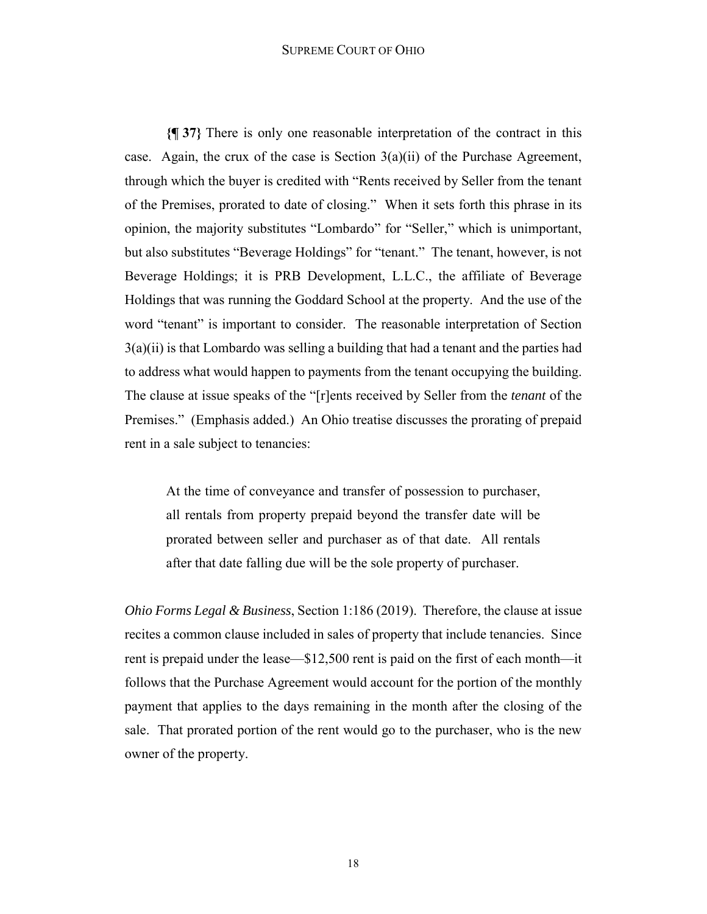#### SUPREME COURT OF OHIO

**{¶ 37}** There is only one reasonable interpretation of the contract in this case. Again, the crux of the case is Section  $3(a)(ii)$  of the Purchase Agreement, through which the buyer is credited with "Rents received by Seller from the tenant of the Premises, prorated to date of closing." When it sets forth this phrase in its opinion, the majority substitutes "Lombardo" for "Seller," which is unimportant, but also substitutes "Beverage Holdings" for "tenant." The tenant, however, is not Beverage Holdings; it is PRB Development, L.L.C., the affiliate of Beverage Holdings that was running the Goddard School at the property. And the use of the word "tenant" is important to consider. The reasonable interpretation of Section  $3(a)(ii)$  is that Lombardo was selling a building that had a tenant and the parties had to address what would happen to payments from the tenant occupying the building. The clause at issue speaks of the "[r]ents received by Seller from the *tenant* of the Premises." (Emphasis added.) An Ohio treatise discusses the prorating of prepaid rent in a sale subject to tenancies:

At the time of conveyance and transfer of possession to purchaser, all rentals from property prepaid beyond the transfer date will be prorated between seller and purchaser as of that date. All rentals after that date falling due will be the sole property of purchaser.

*Ohio Forms Legal & Business*, Section 1:186 (2019). Therefore, the clause at issue recites a common clause included in sales of property that include tenancies. Since rent is prepaid under the lease—\$12,500 rent is paid on the first of each month—it follows that the Purchase Agreement would account for the portion of the monthly payment that applies to the days remaining in the month after the closing of the sale. That prorated portion of the rent would go to the purchaser, who is the new owner of the property.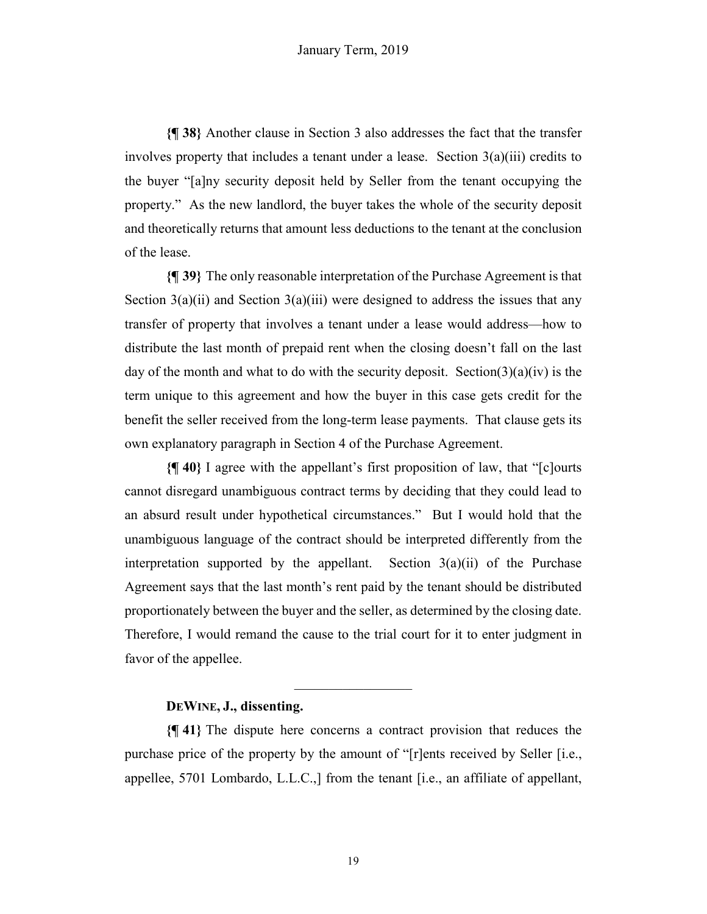**{¶ 38}** Another clause in Section 3 also addresses the fact that the transfer involves property that includes a tenant under a lease. Section 3(a)(iii) credits to the buyer "[a]ny security deposit held by Seller from the tenant occupying the property." As the new landlord, the buyer takes the whole of the security deposit and theoretically returns that amount less deductions to the tenant at the conclusion of the lease.

**{¶ 39}** The only reasonable interpretation of the Purchase Agreement is that Section  $3(a)(ii)$  and Section  $3(a)(iii)$  were designed to address the issues that any transfer of property that involves a tenant under a lease would address—how to distribute the last month of prepaid rent when the closing doesn't fall on the last day of the month and what to do with the security deposit. Section(3)(a)(iv) is the term unique to this agreement and how the buyer in this case gets credit for the benefit the seller received from the long-term lease payments. That clause gets its own explanatory paragraph in Section 4 of the Purchase Agreement.

**{¶ 40}** I agree with the appellant's first proposition of law, that "[c]ourts cannot disregard unambiguous contract terms by deciding that they could lead to an absurd result under hypothetical circumstances." But I would hold that the unambiguous language of the contract should be interpreted differently from the interpretation supported by the appellant. Section  $3(a)(ii)$  of the Purchase Agreement says that the last month's rent paid by the tenant should be distributed proportionately between the buyer and the seller, as determined by the closing date. Therefore, I would remand the cause to the trial court for it to enter judgment in favor of the appellee.

## **DEWINE, J., dissenting.**

**{¶ 41}** The dispute here concerns a contract provision that reduces the purchase price of the property by the amount of "[r]ents received by Seller [i.e., appellee, 5701 Lombardo, L.L.C.,] from the tenant [i.e., an affiliate of appellant,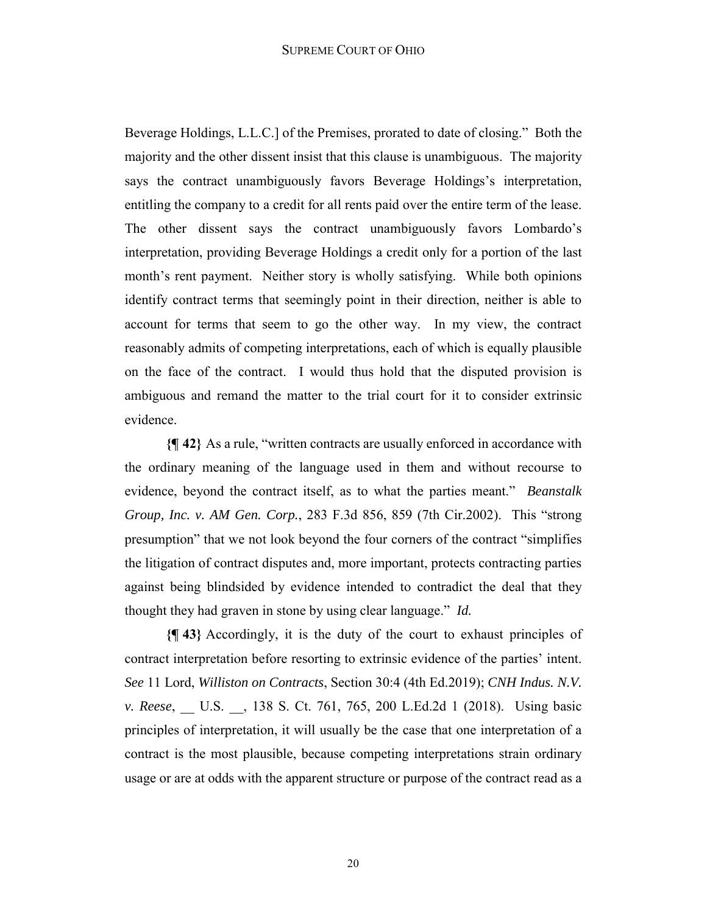Beverage Holdings, L.L.C.] of the Premises, prorated to date of closing." Both the majority and the other dissent insist that this clause is unambiguous. The majority says the contract unambiguously favors Beverage Holdings's interpretation, entitling the company to a credit for all rents paid over the entire term of the lease. The other dissent says the contract unambiguously favors Lombardo's interpretation, providing Beverage Holdings a credit only for a portion of the last month's rent payment. Neither story is wholly satisfying. While both opinions identify contract terms that seemingly point in their direction, neither is able to account for terms that seem to go the other way. In my view, the contract reasonably admits of competing interpretations, each of which is equally plausible on the face of the contract. I would thus hold that the disputed provision is ambiguous and remand the matter to the trial court for it to consider extrinsic evidence.

**{¶ 42}** As a rule, "written contracts are usually enforced in accordance with the ordinary meaning of the language used in them and without recourse to evidence, beyond the contract itself, as to what the parties meant." *Beanstalk Group, Inc. v. AM Gen. Corp.*, 283 F.3d 856, 859 (7th Cir.2002). This "strong presumption" that we not look beyond the four corners of the contract "simplifies the litigation of contract disputes and, more important, protects contracting parties against being blindsided by evidence intended to contradict the deal that they thought they had graven in stone by using clear language." *Id.*

**{¶ 43}** Accordingly, it is the duty of the court to exhaust principles of contract interpretation before resorting to extrinsic evidence of the parties' intent. *See* 11 Lord, *Williston on Contracts*, Section 30:4 (4th Ed.2019); *CNH Indus. N.V. v. Reese*, U.S. , 138 S. Ct. 761, 765, 200 L.Ed.2d 1 (2018). Using basic principles of interpretation, it will usually be the case that one interpretation of a contract is the most plausible, because competing interpretations strain ordinary usage or are at odds with the apparent structure or purpose of the contract read as a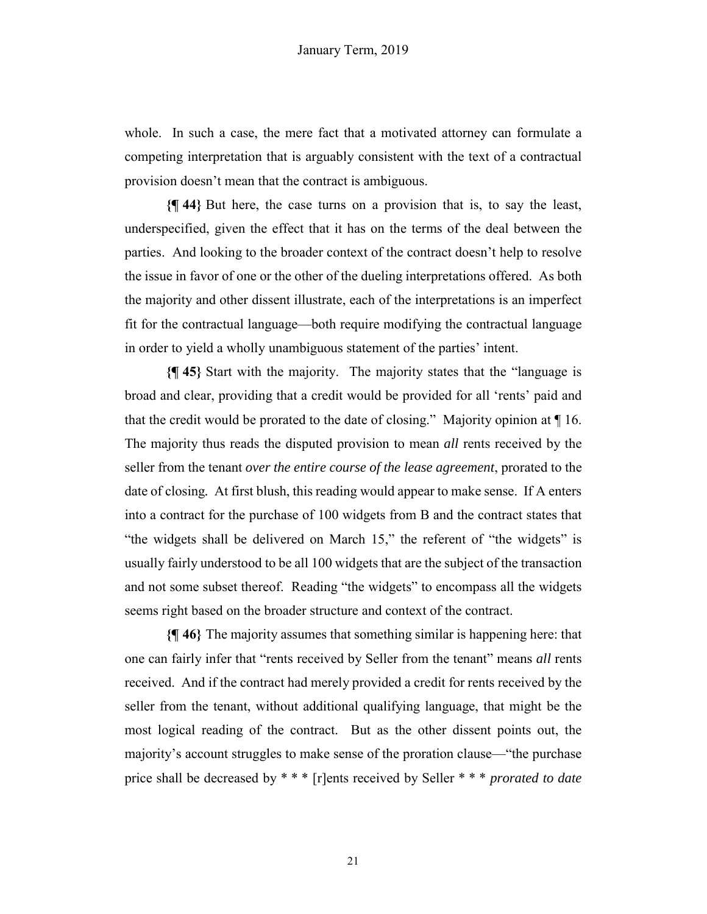whole. In such a case, the mere fact that a motivated attorney can formulate a competing interpretation that is arguably consistent with the text of a contractual provision doesn't mean that the contract is ambiguous.

**{¶ 44}** But here, the case turns on a provision that is, to say the least, underspecified, given the effect that it has on the terms of the deal between the parties. And looking to the broader context of the contract doesn't help to resolve the issue in favor of one or the other of the dueling interpretations offered. As both the majority and other dissent illustrate, each of the interpretations is an imperfect fit for the contractual language—both require modifying the contractual language in order to yield a wholly unambiguous statement of the parties' intent.

**{¶ 45}** Start with the majority. The majority states that the "language is broad and clear, providing that a credit would be provided for all 'rents' paid and that the credit would be prorated to the date of closing." Majority opinion at ¶ 16. The majority thus reads the disputed provision to mean *all* rents received by the seller from the tenant *over the entire course of the lease agreement*, prorated to the date of closing*.* At first blush, this reading would appear to make sense. If A enters into a contract for the purchase of 100 widgets from B and the contract states that "the widgets shall be delivered on March 15," the referent of "the widgets" is usually fairly understood to be all 100 widgets that are the subject of the transaction and not some subset thereof. Reading "the widgets" to encompass all the widgets seems right based on the broader structure and context of the contract.

**{¶ 46}** The majority assumes that something similar is happening here: that one can fairly infer that "rents received by Seller from the tenant" means *all* rents received. And if the contract had merely provided a credit for rents received by the seller from the tenant, without additional qualifying language, that might be the most logical reading of the contract. But as the other dissent points out, the majority's account struggles to make sense of the proration clause—"the purchase price shall be decreased by \* \* \* [r]ents received by Seller \* \* \* *prorated to date*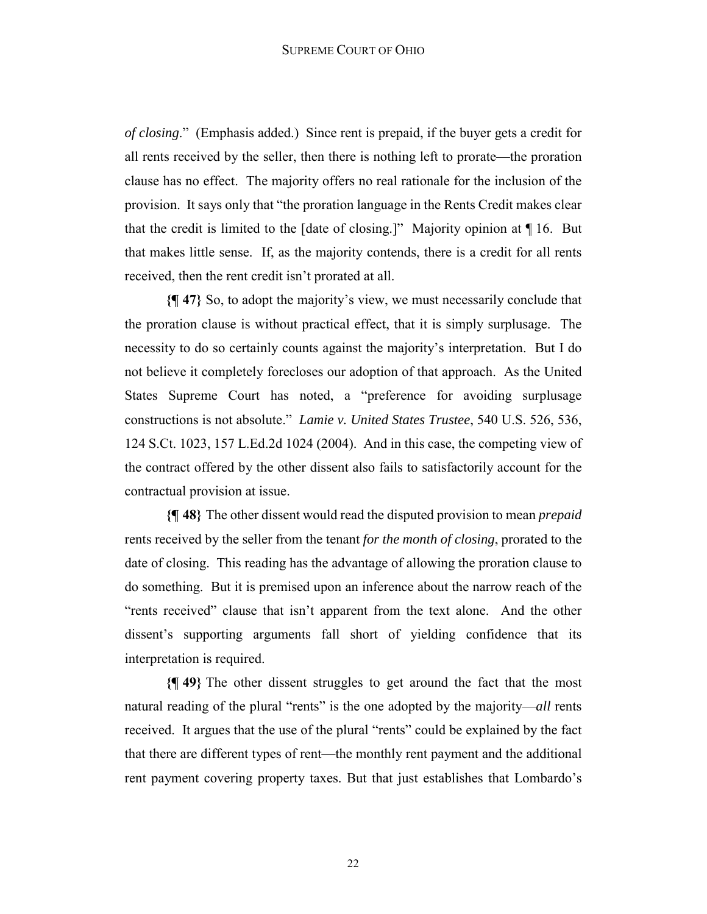*of closing*." (Emphasis added.) Since rent is prepaid, if the buyer gets a credit for all rents received by the seller, then there is nothing left to prorate—the proration clause has no effect. The majority offers no real rationale for the inclusion of the provision. It says only that "the proration language in the Rents Credit makes clear that the credit is limited to the [date of closing.]" Majority opinion at  $\P$ 16. But that makes little sense. If, as the majority contends, there is a credit for all rents received, then the rent credit isn't prorated at all.

**{¶ 47}** So, to adopt the majority's view, we must necessarily conclude that the proration clause is without practical effect, that it is simply surplusage. The necessity to do so certainly counts against the majority's interpretation. But I do not believe it completely forecloses our adoption of that approach. As the United States Supreme Court has noted, a "preference for avoiding surplusage constructions is not absolute." *Lamie v. United States Trustee*, 540 U.S. 526, 536, 124 S.Ct. 1023, 157 L.Ed.2d 1024 (2004). And in this case, the competing view of the contract offered by the other dissent also fails to satisfactorily account for the contractual provision at issue.

**{¶ 48}** The other dissent would read the disputed provision to mean *prepaid*  rents received by the seller from the tenant *for the month of closing*, prorated to the date of closing. This reading has the advantage of allowing the proration clause to do something. But it is premised upon an inference about the narrow reach of the "rents received" clause that isn't apparent from the text alone. And the other dissent's supporting arguments fall short of yielding confidence that its interpretation is required.

**{¶ 49}** The other dissent struggles to get around the fact that the most natural reading of the plural "rents" is the one adopted by the majority—*all* rents received. It argues that the use of the plural "rents" could be explained by the fact that there are different types of rent—the monthly rent payment and the additional rent payment covering property taxes. But that just establishes that Lombardo's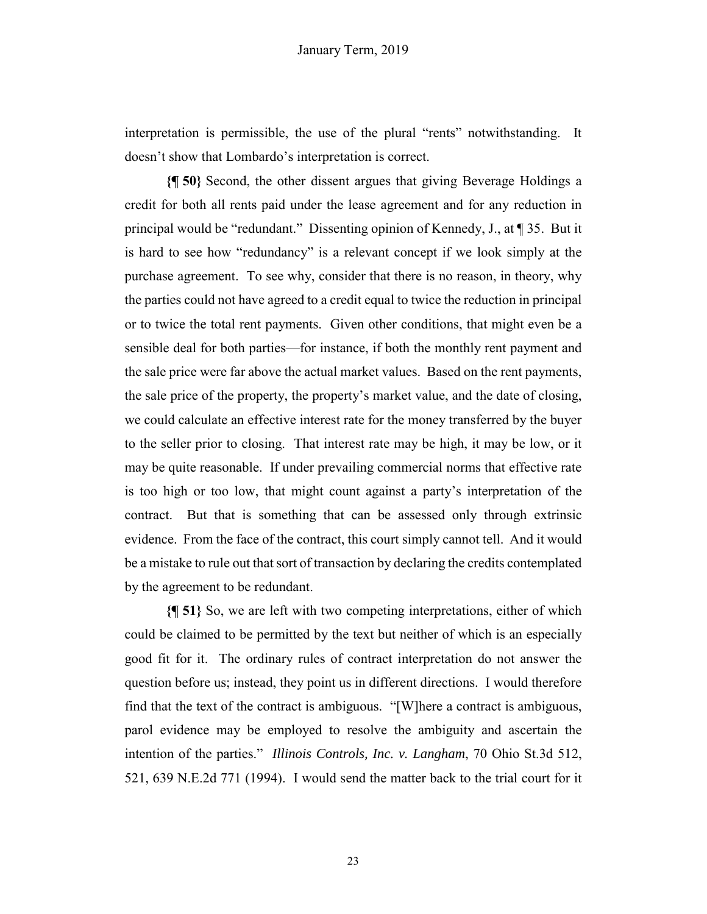interpretation is permissible, the use of the plural "rents" notwithstanding. It doesn't show that Lombardo's interpretation is correct.

**{¶ 50}** Second, the other dissent argues that giving Beverage Holdings a credit for both all rents paid under the lease agreement and for any reduction in principal would be "redundant." Dissenting opinion of Kennedy, J., at ¶ 35. But it is hard to see how "redundancy" is a relevant concept if we look simply at the purchase agreement. To see why, consider that there is no reason, in theory, why the parties could not have agreed to a credit equal to twice the reduction in principal or to twice the total rent payments. Given other conditions, that might even be a sensible deal for both parties—for instance, if both the monthly rent payment and the sale price were far above the actual market values. Based on the rent payments, the sale price of the property, the property's market value, and the date of closing, we could calculate an effective interest rate for the money transferred by the buyer to the seller prior to closing. That interest rate may be high, it may be low, or it may be quite reasonable. If under prevailing commercial norms that effective rate is too high or too low, that might count against a party's interpretation of the contract. But that is something that can be assessed only through extrinsic evidence. From the face of the contract, this court simply cannot tell. And it would be a mistake to rule out that sort of transaction by declaring the credits contemplated by the agreement to be redundant.

**{¶ 51}** So, we are left with two competing interpretations, either of which could be claimed to be permitted by the text but neither of which is an especially good fit for it. The ordinary rules of contract interpretation do not answer the question before us; instead, they point us in different directions. I would therefore find that the text of the contract is ambiguous. "[W]here a contract is ambiguous, parol evidence may be employed to resolve the ambiguity and ascertain the intention of the parties." *Illinois Controls, Inc. v. Langham*, 70 Ohio St.3d 512, 521, 639 N.E.2d 771 (1994). I would send the matter back to the trial court for it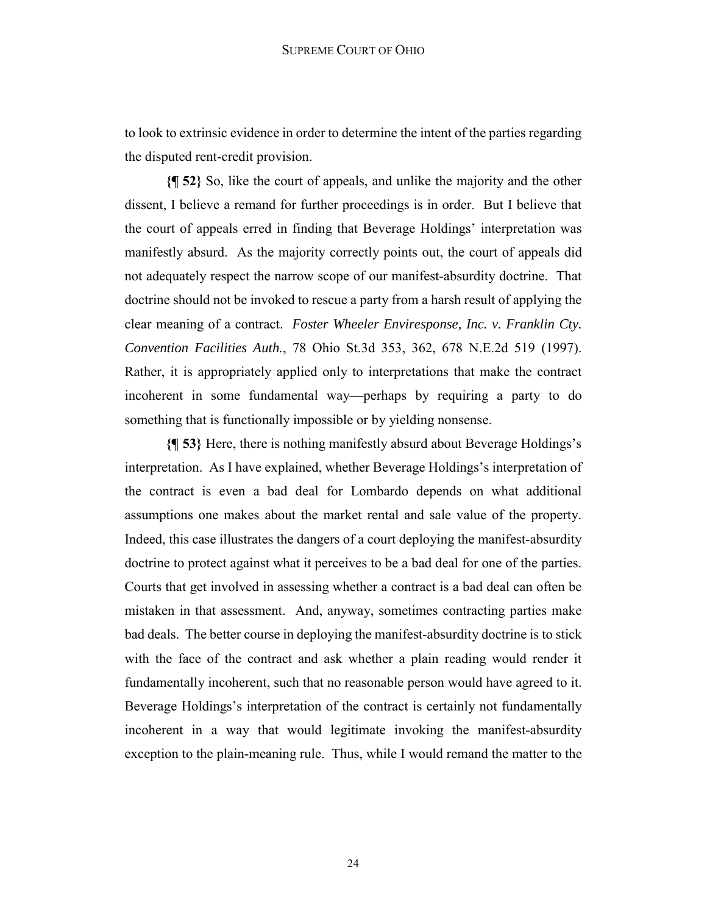to look to extrinsic evidence in order to determine the intent of the parties regarding the disputed rent-credit provision.

**{¶ 52}** So, like the court of appeals, and unlike the majority and the other dissent, I believe a remand for further proceedings is in order. But I believe that the court of appeals erred in finding that Beverage Holdings' interpretation was manifestly absurd. As the majority correctly points out, the court of appeals did not adequately respect the narrow scope of our manifest-absurdity doctrine. That doctrine should not be invoked to rescue a party from a harsh result of applying the clear meaning of a contract. *Foster Wheeler Enviresponse, Inc. v. Franklin Cty. Convention Facilities Auth.*, 78 Ohio St.3d 353, 362, 678 N.E.2d 519 (1997). Rather, it is appropriately applied only to interpretations that make the contract incoherent in some fundamental way—perhaps by requiring a party to do something that is functionally impossible or by yielding nonsense.

**{¶ 53}** Here, there is nothing manifestly absurd about Beverage Holdings's interpretation. As I have explained, whether Beverage Holdings's interpretation of the contract is even a bad deal for Lombardo depends on what additional assumptions one makes about the market rental and sale value of the property. Indeed, this case illustrates the dangers of a court deploying the manifest-absurdity doctrine to protect against what it perceives to be a bad deal for one of the parties. Courts that get involved in assessing whether a contract is a bad deal can often be mistaken in that assessment. And, anyway, sometimes contracting parties make bad deals. The better course in deploying the manifest-absurdity doctrine is to stick with the face of the contract and ask whether a plain reading would render it fundamentally incoherent, such that no reasonable person would have agreed to it. Beverage Holdings's interpretation of the contract is certainly not fundamentally incoherent in a way that would legitimate invoking the manifest-absurdity exception to the plain-meaning rule. Thus, while I would remand the matter to the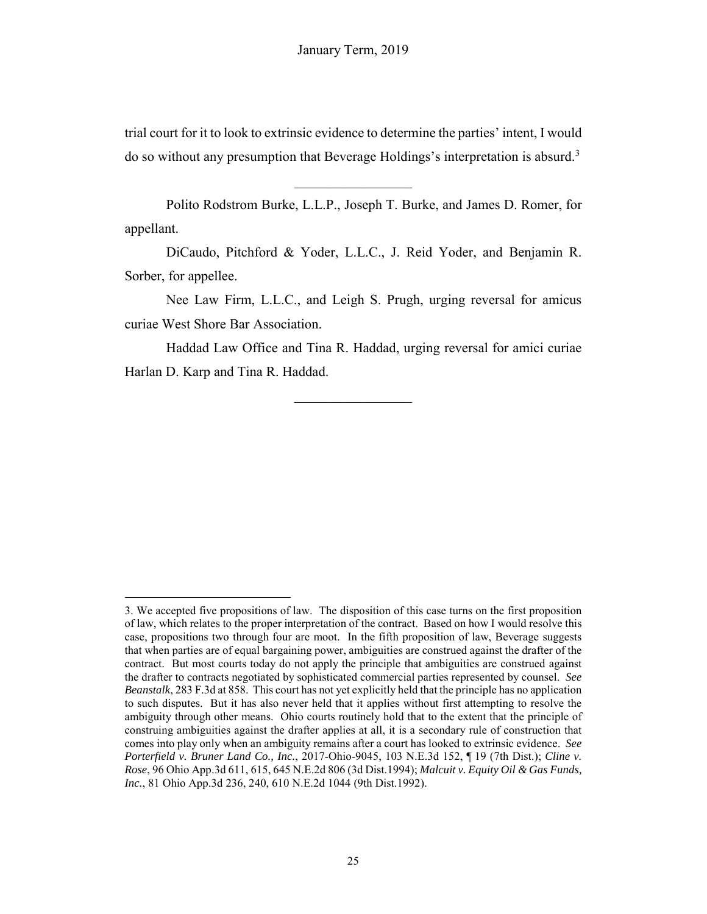trial court for it to look to extrinsic evidence to determine the parties' intent, I would do so without any presumption that Beverage Holdings's interpretation is absurd.<sup>3</sup>

Polito Rodstrom Burke, L.L.P., Joseph T. Burke, and James D. Romer, for appellant.

DiCaudo, Pitchford & Yoder, L.L.C., J. Reid Yoder, and Benjamin R. Sorber, for appellee.

Nee Law Firm, L.L.C., and Leigh S. Prugh, urging reversal for amicus curiae West Shore Bar Association.

Haddad Law Office and Tina R. Haddad, urging reversal for amici curiae Harlan D. Karp and Tina R. Haddad.

 $\frac{1}{2}$ 

1

<sup>3.</sup> We accepted five propositions of law. The disposition of this case turns on the first proposition of law, which relates to the proper interpretation of the contract. Based on how I would resolve this case, propositions two through four are moot. In the fifth proposition of law, Beverage suggests that when parties are of equal bargaining power, ambiguities are construed against the drafter of the contract. But most courts today do not apply the principle that ambiguities are construed against the drafter to contracts negotiated by sophisticated commercial parties represented by counsel. *See Beanstalk*, 283 F.3d at 858. This court has not yet explicitly held that the principle has no application to such disputes. But it has also never held that it applies without first attempting to resolve the ambiguity through other means. Ohio courts routinely hold that to the extent that the principle of construing ambiguities against the drafter applies at all, it is a secondary rule of construction that comes into play only when an ambiguity remains after a court has looked to extrinsic evidence. *See Porterfield v. Bruner Land Co., Inc.*, 2017-Ohio-9045, 103 N.E.3d 152, ¶ 19 (7th Dist.); *Cline v. Rose*, 96 Ohio App.3d 611, 615, 645 N.E.2d 806 (3d Dist.1994); *Malcuit v. Equity Oil & Gas Funds, Inc.*, 81 Ohio App.3d 236, 240, 610 N.E.2d 1044 (9th Dist.1992).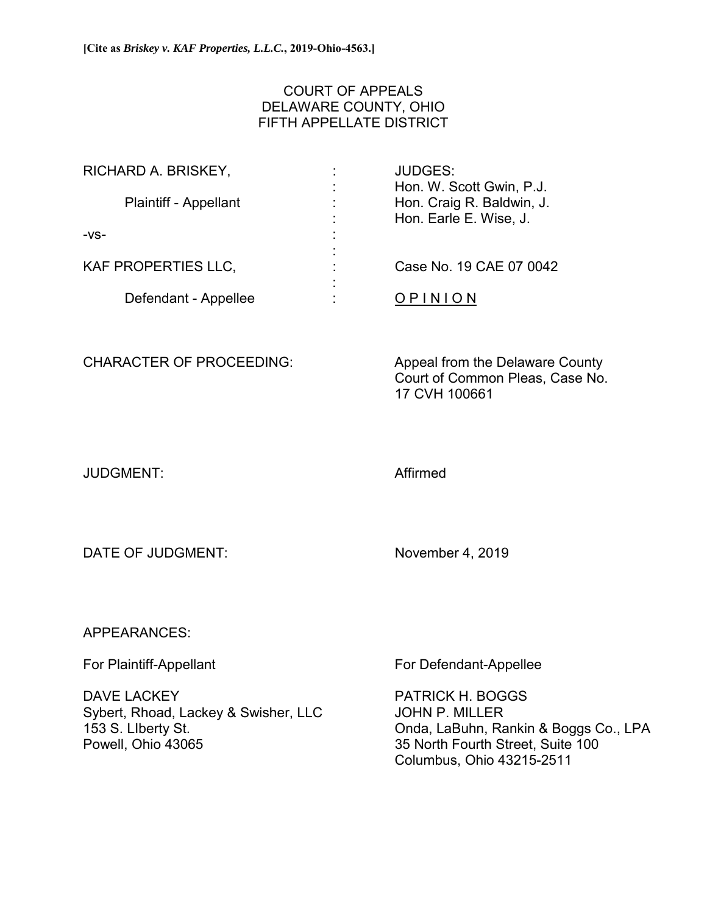# COURT OF APPEALS DELAWARE COUNTY, OHIO FIFTH APPELLATE DISTRICT

| RICHARD A. BRISKEY,          | <b>JUDGES:</b>            |
|------------------------------|---------------------------|
|                              | Hon. W. Scott Gwin, P.J.  |
| <b>Plaintiff - Appellant</b> | Hon. Craig R. Baldwin, J. |
|                              | Hon. Earle E. Wise, J.    |
| $-VS-$                       |                           |
|                              |                           |
| <b>KAF PROPERTIES LLC,</b>   | Case No. 19 CAE 07 0042   |
|                              |                           |
| Defendant - Appellee         | <b>OPINION</b>            |

CHARACTER OF PROCEEDING: Appeal from the Delaware County Court of Common Pleas, Case No. 17 CVH 100661

JUDGMENT: Affirmed

DATE OF JUDGMENT: November 4, 2019

APPEARANCES:

DAVE LACKEY **EXAMPLE A TAILOG HARASH PATRICK H. BOGGS** Sybert, Rhoad, Lackey & Swisher, LLC JOHN P. MILLER

For Plaintiff-Appellant For Defendant-Appellee

153 S. LIberty St. Onda, LaBuhn, Rankin & Boggs Co., LPA 35 North Fourth Street, Suite 100 Columbus, Ohio 43215-2511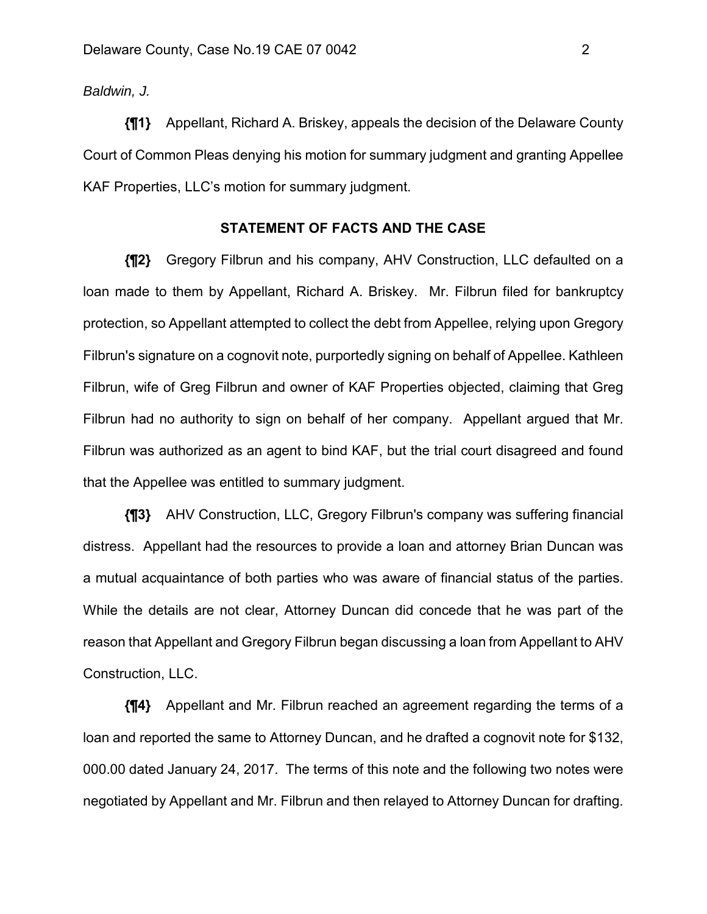*Baldwin, J.*

**{¶1}** Appellant, Richard A. Briskey, appeals the decision of the Delaware County Court of Common Pleas denying his motion for summary judgment and granting Appellee KAF Properties, LLC's motion for summary judgment.

## **STATEMENT OF FACTS AND THE CASE**

**{¶2}** Gregory Filbrun and his company, AHV Construction, LLC defaulted on a loan made to them by Appellant, Richard A. Briskey. Mr. Filbrun filed for bankruptcy protection, so Appellant attempted to collect the debt from Appellee, relying upon Gregory Filbrun's signature on a cognovit note, purportedly signing on behalf of Appellee. Kathleen Filbrun, wife of Greg Filbrun and owner of KAF Properties objected, claiming that Greg Filbrun had no authority to sign on behalf of her company. Appellant argued that Mr. Filbrun was authorized as an agent to bind KAF, but the trial court disagreed and found that the Appellee was entitled to summary judgment.

**{¶3}** AHV Construction, LLC, Gregory Filbrun's company was suffering financial distress. Appellant had the resources to provide a loan and attorney Brian Duncan was a mutual acquaintance of both parties who was aware of financial status of the parties. While the details are not clear, Attorney Duncan did concede that he was part of the reason that Appellant and Gregory Filbrun began discussing a loan from Appellant to AHV Construction, LLC.

**{¶4}** Appellant and Mr. Filbrun reached an agreement regarding the terms of a loan and reported the same to Attorney Duncan, and he drafted a cognovit note for \$132, 000.00 dated January 24, 2017. The terms of this note and the following two notes were negotiated by Appellant and Mr. Filbrun and then relayed to Attorney Duncan for drafting.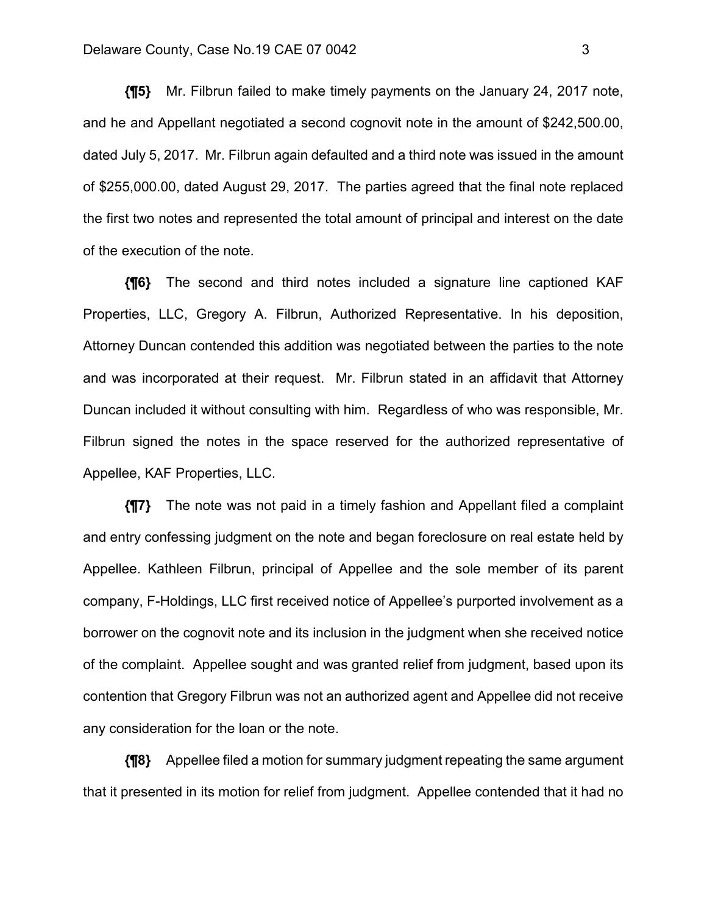**{¶5}** Mr. Filbrun failed to make timely payments on the January 24, 2017 note, and he and Appellant negotiated a second cognovit note in the amount of \$242,500.00, dated July 5, 2017. Mr. Filbrun again defaulted and a third note was issued in the amount of \$255,000.00, dated August 29, 2017. The parties agreed that the final note replaced the first two notes and represented the total amount of principal and interest on the date of the execution of the note.

**{¶6}** The second and third notes included a signature line captioned KAF Properties, LLC, Gregory A. Filbrun, Authorized Representative. In his deposition, Attorney Duncan contended this addition was negotiated between the parties to the note and was incorporated at their request. Mr. Filbrun stated in an affidavit that Attorney Duncan included it without consulting with him. Regardless of who was responsible, Mr. Filbrun signed the notes in the space reserved for the authorized representative of Appellee, KAF Properties, LLC.

**{¶7}** The note was not paid in a timely fashion and Appellant filed a complaint and entry confessing judgment on the note and began foreclosure on real estate held by Appellee. Kathleen Filbrun, principal of Appellee and the sole member of its parent company, F-Holdings, LLC first received notice of Appellee's purported involvement as a borrower on the cognovit note and its inclusion in the judgment when she received notice of the complaint. Appellee sought and was granted relief from judgment, based upon its contention that Gregory Filbrun was not an authorized agent and Appellee did not receive any consideration for the loan or the note.

**{¶8}** Appellee filed a motion for summary judgment repeating the same argument that it presented in its motion for relief from judgment. Appellee contended that it had no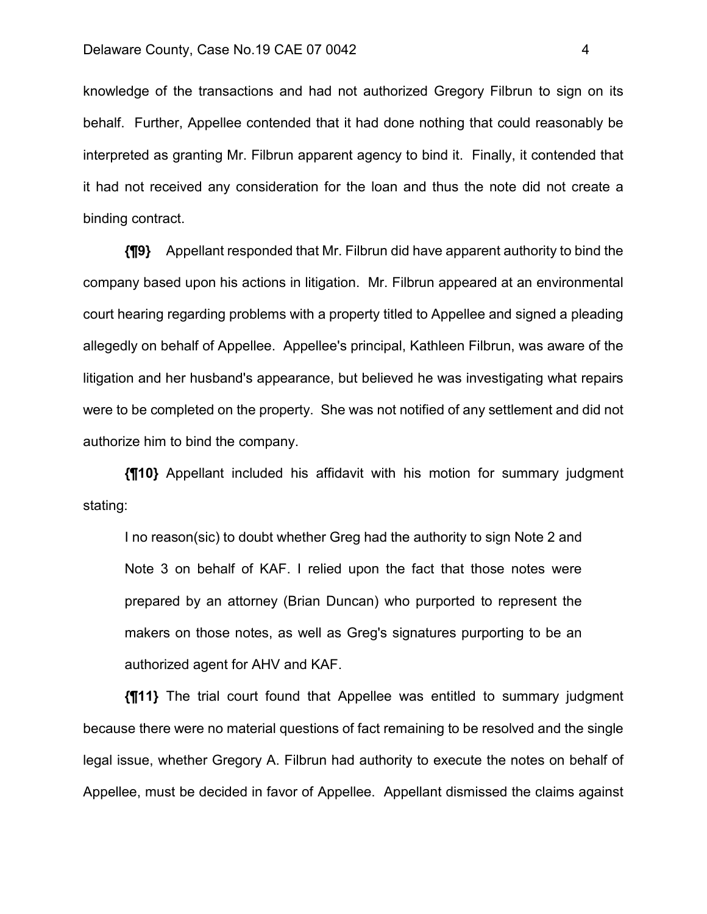knowledge of the transactions and had not authorized Gregory Filbrun to sign on its behalf. Further, Appellee contended that it had done nothing that could reasonably be interpreted as granting Mr. Filbrun apparent agency to bind it. Finally, it contended that it had not received any consideration for the loan and thus the note did not create a binding contract.

**{¶9}** Appellant responded that Mr. Filbrun did have apparent authority to bind the company based upon his actions in litigation. Mr. Filbrun appeared at an environmental court hearing regarding problems with a property titled to Appellee and signed a pleading allegedly on behalf of Appellee. Appellee's principal, Kathleen Filbrun, was aware of the litigation and her husband's appearance, but believed he was investigating what repairs were to be completed on the property. She was not notified of any settlement and did not authorize him to bind the company.

**{¶10}** Appellant included his affidavit with his motion for summary judgment stating:

I no reason(sic) to doubt whether Greg had the authority to sign Note 2 and Note 3 on behalf of KAF. I relied upon the fact that those notes were prepared by an attorney (Brian Duncan) who purported to represent the makers on those notes, as well as Greg's signatures purporting to be an authorized agent for AHV and KAF.

**{¶11}** The trial court found that Appellee was entitled to summary judgment because there were no material questions of fact remaining to be resolved and the single legal issue, whether Gregory A. Filbrun had authority to execute the notes on behalf of Appellee, must be decided in favor of Appellee. Appellant dismissed the claims against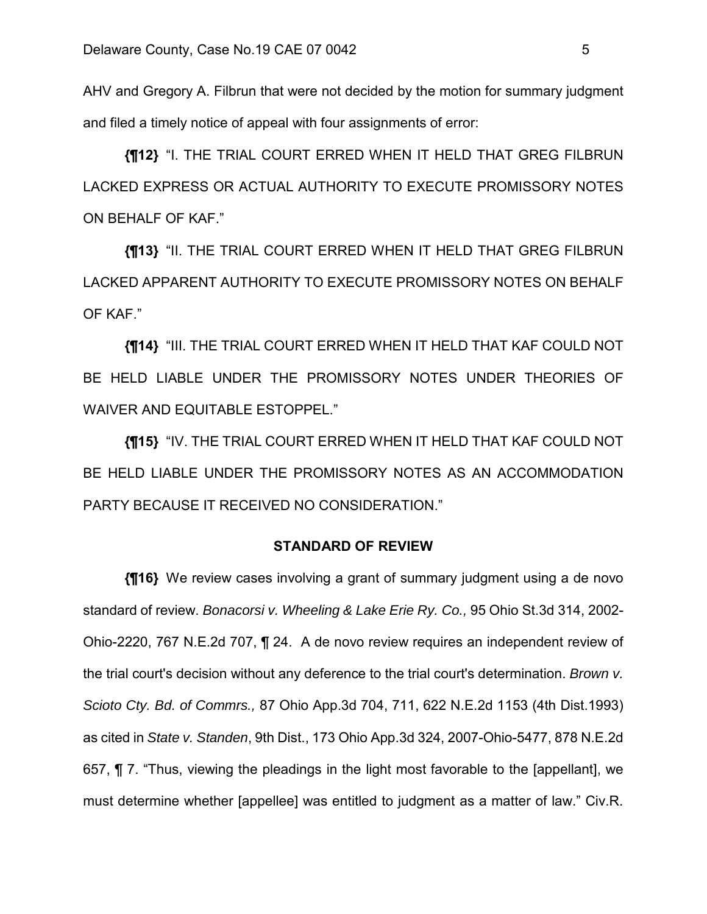AHV and Gregory A. Filbrun that were not decided by the motion for summary judgment and filed a timely notice of appeal with four assignments of error:

**{¶12}** "I. THE TRIAL COURT ERRED WHEN IT HELD THAT GREG FILBRUN LACKED EXPRESS OR ACTUAL AUTHORITY TO EXECUTE PROMISSORY NOTES ON BEHALF OF KAF."

**{¶13}** "II. THE TRIAL COURT ERRED WHEN IT HELD THAT GREG FILBRUN LACKED APPARENT AUTHORITY TO EXECUTE PROMISSORY NOTES ON BEHALF OF KAF."

**{¶14}** "III. THE TRIAL COURT ERRED WHEN IT HELD THAT KAF COULD NOT BE HELD LIABLE UNDER THE PROMISSORY NOTES UNDER THEORIES OF WAIVER AND EQUITABLE ESTOPPEL."

**{¶15}** "IV. THE TRIAL COURT ERRED WHEN IT HELD THAT KAF COULD NOT BE HELD LIABLE UNDER THE PROMISSORY NOTES AS AN ACCOMMODATION PARTY BECAUSE IT RECEIVED NO CONSIDERATION."

## **STANDARD OF REVIEW**

**{¶16}** We review cases involving a grant of summary judgment using a de novo standard of review. *Bonacorsi v. Wheeling & Lake Erie Ry. Co.,* 95 Ohio St.3d 314, 2002- Ohio-2220, 767 N.E.2d 707, ¶ 24. A de novo review requires an independent review of the trial court's decision without any deference to the trial court's determination. *Brown v. Scioto Cty. Bd. of Commrs.,* 87 Ohio App.3d 704, 711, 622 N.E.2d 1153 (4th Dist.1993) as cited in *State v. Standen*, 9th Dist., 173 Ohio App.3d 324, 2007-Ohio-5477, 878 N.E.2d 657, ¶ 7. "Thus, viewing the pleadings in the light most favorable to the [appellant], we must determine whether [appellee] was entitled to judgment as a matter of law." Civ.R.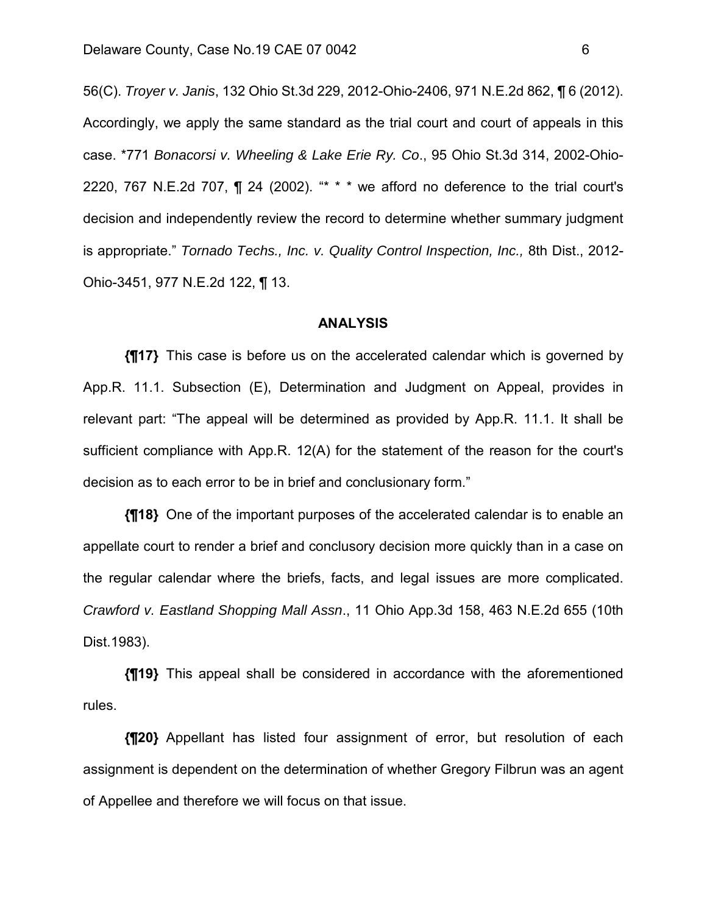56(C). *Troyer v. Janis*, 132 Ohio St.3d 229, 2012-Ohio-2406, 971 N.E.2d 862, ¶ 6 (2012). Accordingly, we apply the same standard as the trial court and court of appeals in this case. \*771 *Bonacorsi v. Wheeling & Lake Erie Ry. Co*., 95 Ohio St.3d 314, 2002-Ohio-2220, 767 N.E.2d 707,  $\P$  24 (2002). "\* \* \* we afford no deference to the trial court's decision and independently review the record to determine whether summary judgment is appropriate." *Tornado Techs., Inc. v. Quality Control Inspection, Inc.,* 8th Dist., 2012- Ohio-3451, 977 N.E.2d 122, ¶ 13.

## **ANALYSIS**

**{¶17}** This case is before us on the accelerated calendar which is governed by App.R. 11.1. Subsection (E), Determination and Judgment on Appeal, provides in relevant part: "The appeal will be determined as provided by App.R. 11.1. It shall be sufficient compliance with App.R. 12(A) for the statement of the reason for the court's decision as to each error to be in brief and conclusionary form."

**{¶18}** One of the important purposes of the accelerated calendar is to enable an appellate court to render a brief and conclusory decision more quickly than in a case on the regular calendar where the briefs, facts, and legal issues are more complicated. *Crawford v. Eastland Shopping Mall Assn*., 11 Ohio App.3d 158, 463 N.E.2d 655 (10th Dist.1983).

**{¶19}** This appeal shall be considered in accordance with the aforementioned rules.

**{¶20}** Appellant has listed four assignment of error, but resolution of each assignment is dependent on the determination of whether Gregory Filbrun was an agent of Appellee and therefore we will focus on that issue.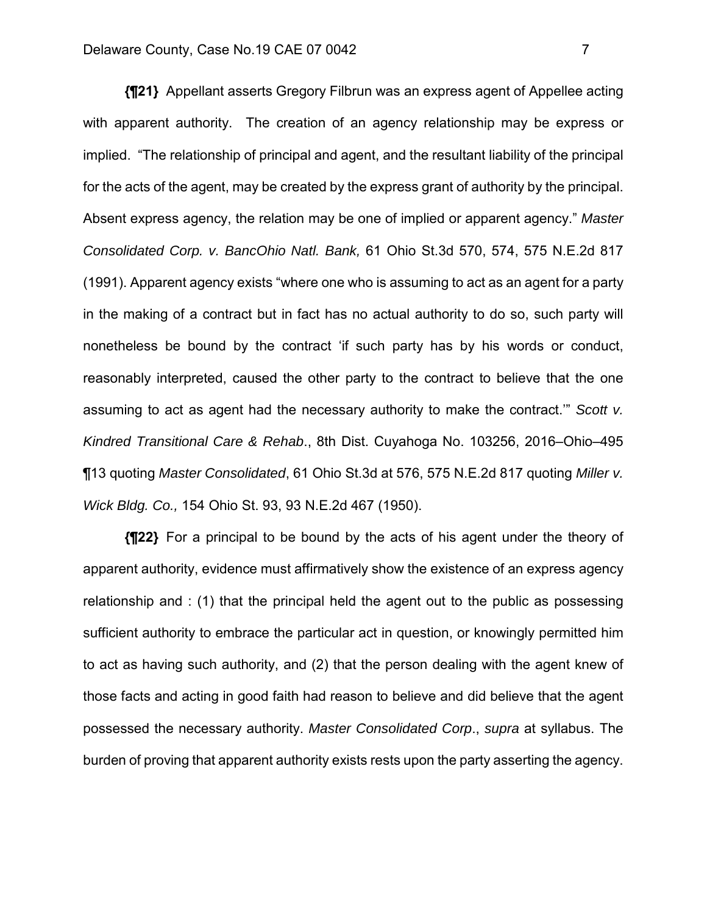**{¶21}** Appellant asserts Gregory Filbrun was an express agent of Appellee acting with apparent authority. The creation of an agency relationship may be express or implied. "The relationship of principal and agent, and the resultant liability of the principal for the acts of the agent, may be created by the express grant of authority by the principal. Absent express agency, the relation may be one of implied or apparent agency." *Master Consolidated Corp. v. BancOhio Natl. Bank,* 61 Ohio St.3d 570, 574, 575 N.E.2d 817 (1991). Apparent agency exists "where one who is assuming to act as an agent for a party in the making of a contract but in fact has no actual authority to do so, such party will nonetheless be bound by the contract 'if such party has by his words or conduct, reasonably interpreted, caused the other party to the contract to believe that the one assuming to act as agent had the necessary authority to make the contract.'" *Scott v. Kindred Transitional Care & Rehab*., 8th Dist. Cuyahoga No. 103256, 2016–Ohio–495 ¶13 quoting *Master Consolidated*, 61 Ohio St.3d at 576, 575 N.E.2d 817 quoting *Miller v. Wick Bldg. Co.,* 154 Ohio St. 93, 93 N.E.2d 467 (1950).

**{¶22}** For a principal to be bound by the acts of his agent under the theory of apparent authority, evidence must affirmatively show the existence of an express agency relationship and : (1) that the principal held the agent out to the public as possessing sufficient authority to embrace the particular act in question, or knowingly permitted him to act as having such authority, and (2) that the person dealing with the agent knew of those facts and acting in good faith had reason to believe and did believe that the agent possessed the necessary authority. *Master Consolidated Corp*., *supra* at syllabus. The burden of proving that apparent authority exists rests upon the party asserting the agency.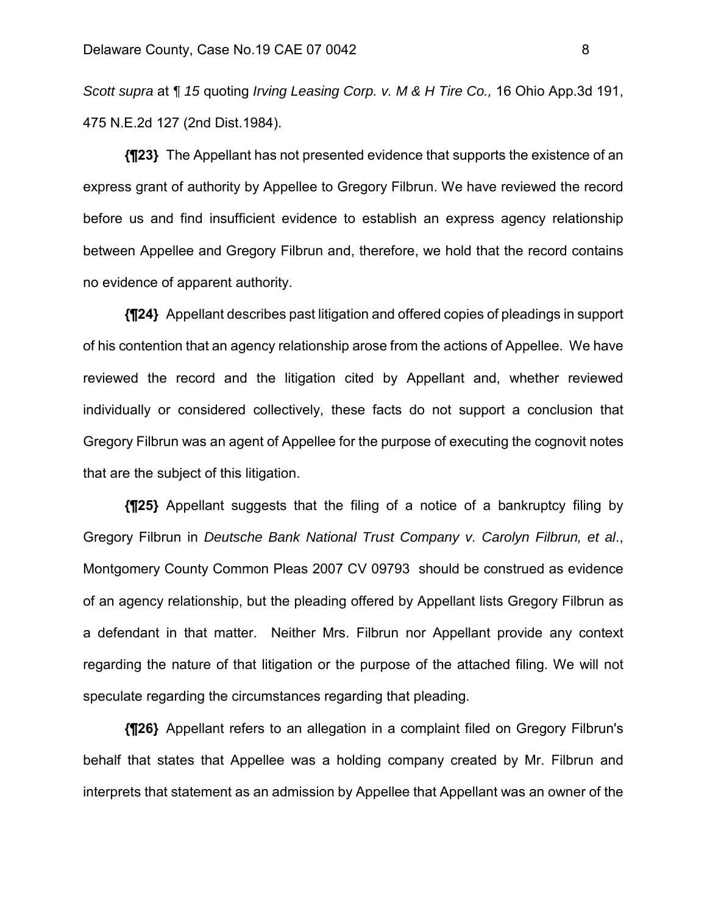*Scott supra* at *¶ 15* quoting *Irving Leasing Corp. v. M & H Tire Co.,* 16 Ohio App.3d 191, 475 N.E.2d 127 (2nd Dist.1984).

**{¶23}** The Appellant has not presented evidence that supports the existence of an express grant of authority by Appellee to Gregory Filbrun. We have reviewed the record before us and find insufficient evidence to establish an express agency relationship between Appellee and Gregory Filbrun and, therefore, we hold that the record contains no evidence of apparent authority.

**{¶24}** Appellant describes past litigation and offered copies of pleadings in support of his contention that an agency relationship arose from the actions of Appellee. We have reviewed the record and the litigation cited by Appellant and, whether reviewed individually or considered collectively, these facts do not support a conclusion that Gregory Filbrun was an agent of Appellee for the purpose of executing the cognovit notes that are the subject of this litigation.

**{¶25}** Appellant suggests that the filing of a notice of a bankruptcy filing by Gregory Filbrun in *Deutsche Bank National Trust Company v. Carolyn Filbrun, et al*., Montgomery County Common Pleas 2007 CV 09793 should be construed as evidence of an agency relationship, but the pleading offered by Appellant lists Gregory Filbrun as a defendant in that matter. Neither Mrs. Filbrun nor Appellant provide any context regarding the nature of that litigation or the purpose of the attached filing. We will not speculate regarding the circumstances regarding that pleading.

**{¶26}** Appellant refers to an allegation in a complaint filed on Gregory Filbrun's behalf that states that Appellee was a holding company created by Mr. Filbrun and interprets that statement as an admission by Appellee that Appellant was an owner of the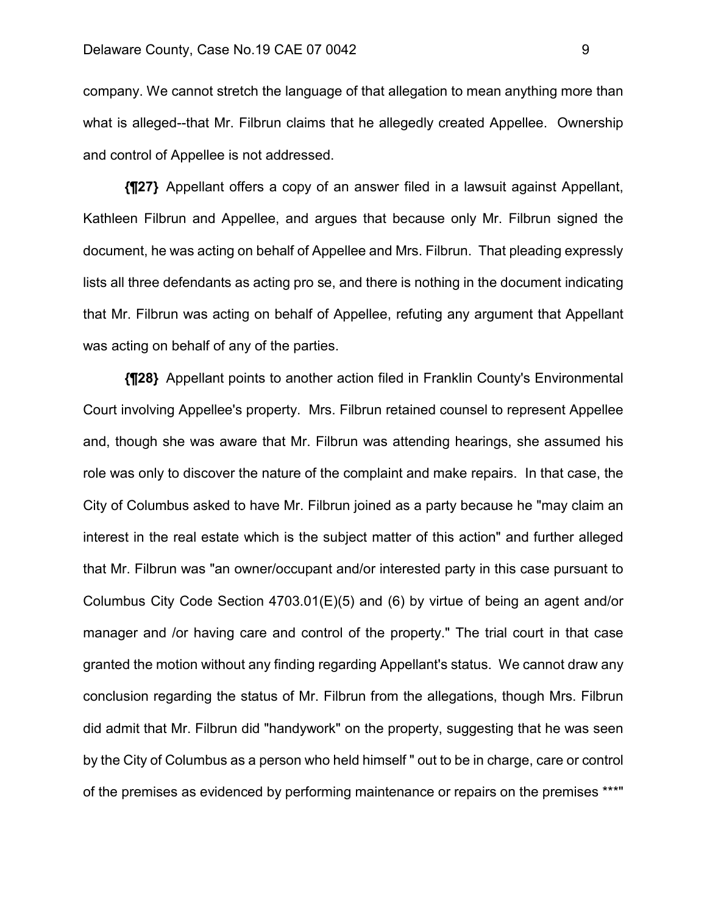company. We cannot stretch the language of that allegation to mean anything more than what is alleged--that Mr. Filbrun claims that he allegedly created Appellee. Ownership and control of Appellee is not addressed.

**{¶27}** Appellant offers a copy of an answer filed in a lawsuit against Appellant, Kathleen Filbrun and Appellee, and argues that because only Mr. Filbrun signed the document, he was acting on behalf of Appellee and Mrs. Filbrun. That pleading expressly lists all three defendants as acting pro se, and there is nothing in the document indicating that Mr. Filbrun was acting on behalf of Appellee, refuting any argument that Appellant was acting on behalf of any of the parties.

**{¶28}** Appellant points to another action filed in Franklin County's Environmental Court involving Appellee's property. Mrs. Filbrun retained counsel to represent Appellee and, though she was aware that Mr. Filbrun was attending hearings, she assumed his role was only to discover the nature of the complaint and make repairs. In that case, the City of Columbus asked to have Mr. Filbrun joined as a party because he "may claim an interest in the real estate which is the subject matter of this action" and further alleged that Mr. Filbrun was "an owner/occupant and/or interested party in this case pursuant to Columbus City Code Section 4703.01(E)(5) and (6) by virtue of being an agent and/or manager and /or having care and control of the property." The trial court in that case granted the motion without any finding regarding Appellant's status. We cannot draw any conclusion regarding the status of Mr. Filbrun from the allegations, though Mrs. Filbrun did admit that Mr. Filbrun did "handywork" on the property, suggesting that he was seen by the City of Columbus as a person who held himself " out to be in charge, care or control of the premises as evidenced by performing maintenance or repairs on the premises \*\*\*"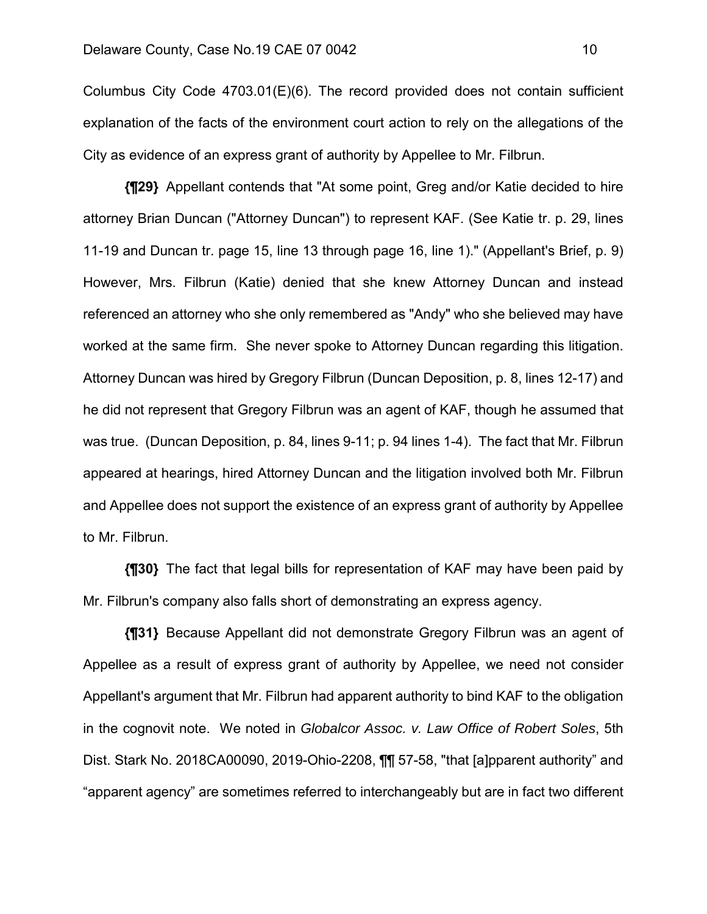Columbus City Code 4703.01(E)(6). The record provided does not contain sufficient explanation of the facts of the environment court action to rely on the allegations of the City as evidence of an express grant of authority by Appellee to Mr. Filbrun.

**{¶29}** Appellant contends that "At some point, Greg and/or Katie decided to hire attorney Brian Duncan ("Attorney Duncan") to represent KAF. (See Katie tr. p. 29, lines 11-19 and Duncan tr. page 15, line 13 through page 16, line 1)." (Appellant's Brief, p. 9) However, Mrs. Filbrun (Katie) denied that she knew Attorney Duncan and instead referenced an attorney who she only remembered as "Andy" who she believed may have worked at the same firm. She never spoke to Attorney Duncan regarding this litigation. Attorney Duncan was hired by Gregory Filbrun (Duncan Deposition, p. 8, lines 12-17) and he did not represent that Gregory Filbrun was an agent of KAF, though he assumed that was true. (Duncan Deposition, p. 84, lines 9-11; p. 94 lines 1-4). The fact that Mr. Filbrun appeared at hearings, hired Attorney Duncan and the litigation involved both Mr. Filbrun and Appellee does not support the existence of an express grant of authority by Appellee to Mr. Filbrun.

**{¶30}** The fact that legal bills for representation of KAF may have been paid by Mr. Filbrun's company also falls short of demonstrating an express agency.

**{¶31}** Because Appellant did not demonstrate Gregory Filbrun was an agent of Appellee as a result of express grant of authority by Appellee, we need not consider Appellant's argument that Mr. Filbrun had apparent authority to bind KAF to the obligation in the cognovit note. We noted in *Globalcor Assoc. v. Law Office of Robert Soles*, 5th Dist. Stark No. 2018CA00090, 2019-Ohio-2208, ¶¶ 57-58, "that [a]pparent authority" and "apparent agency" are sometimes referred to interchangeably but are in fact two different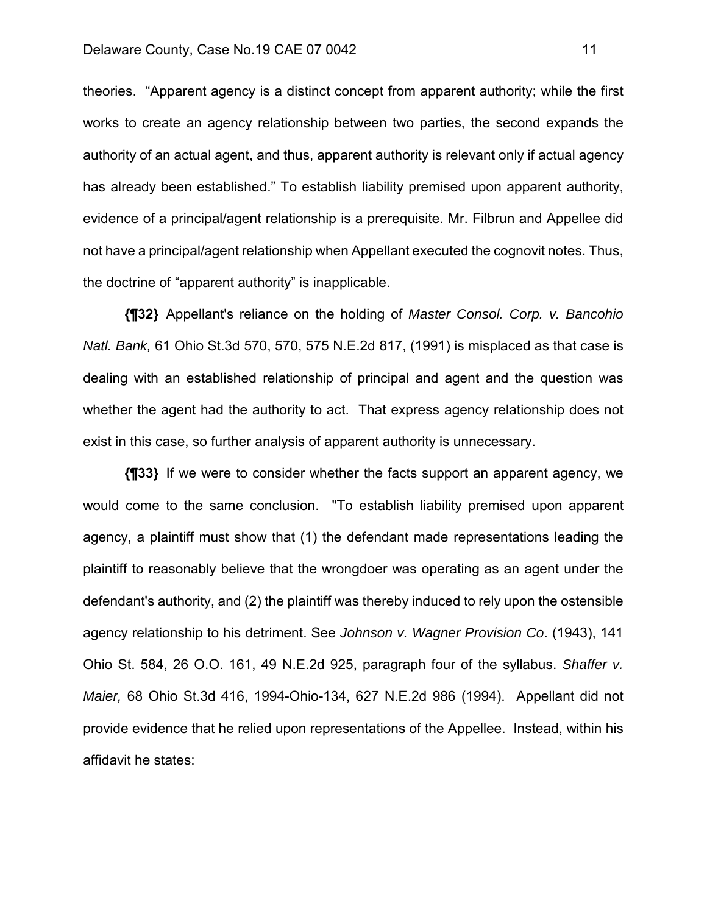#### Delaware County, Case No.19 CAE 07 0042 11

theories. "Apparent agency is a distinct concept from apparent authority; while the first works to create an agency relationship between two parties, the second expands the authority of an actual agent, and thus, apparent authority is relevant only if actual agency has already been established." To establish liability premised upon apparent authority, evidence of a principal/agent relationship is a prerequisite. Mr. Filbrun and Appellee did not have a principal/agent relationship when Appellant executed the cognovit notes. Thus, the doctrine of "apparent authority" is inapplicable.

**{¶32}** Appellant's reliance on the holding of *Master Consol. Corp. v. Bancohio Natl. Bank,* 61 Ohio St.3d 570, 570, 575 N.E.2d 817, (1991) is misplaced as that case is dealing with an established relationship of principal and agent and the question was whether the agent had the authority to act. That express agency relationship does not exist in this case, so further analysis of apparent authority is unnecessary.

**{¶33}** If we were to consider whether the facts support an apparent agency, we would come to the same conclusion. "To establish liability premised upon apparent agency, a plaintiff must show that (1) the defendant made representations leading the plaintiff to reasonably believe that the wrongdoer was operating as an agent under the defendant's authority, and (2) the plaintiff was thereby induced to rely upon the ostensible agency relationship to his detriment. See *Johnson v. Wagner Provision Co*. (1943), 141 Ohio St. 584, 26 O.O. 161, 49 N.E.2d 925, paragraph four of the syllabus. *Shaffer v. Maier,* 68 Ohio St.3d 416, 1994-Ohio-134, 627 N.E.2d 986 (1994). Appellant did not provide evidence that he relied upon representations of the Appellee. Instead, within his affidavit he states: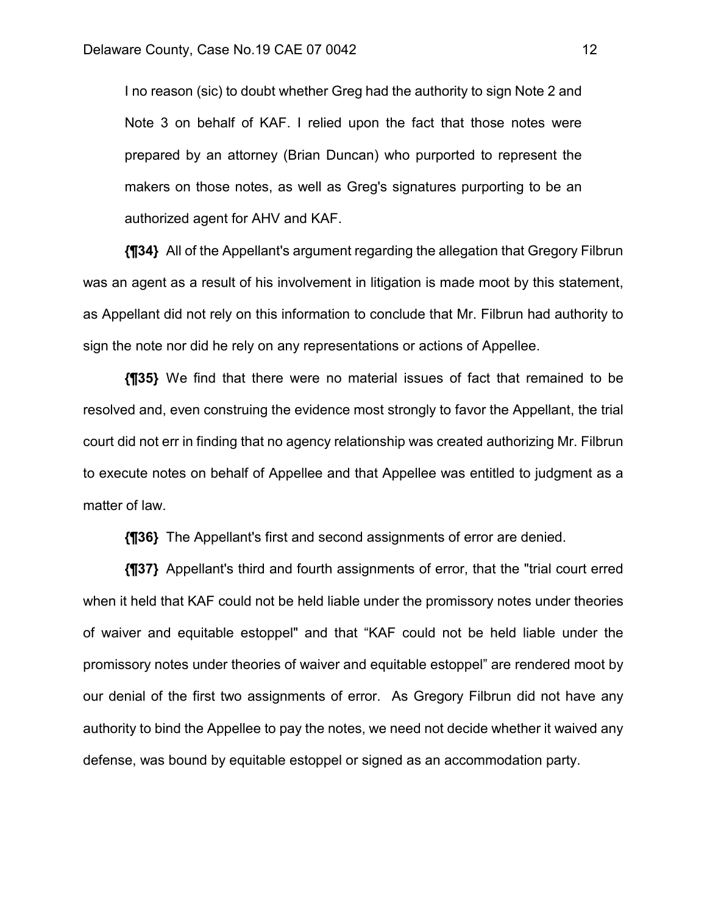I no reason (sic) to doubt whether Greg had the authority to sign Note 2 and Note 3 on behalf of KAF. I relied upon the fact that those notes were prepared by an attorney (Brian Duncan) who purported to represent the makers on those notes, as well as Greg's signatures purporting to be an authorized agent for AHV and KAF.

**{¶34}** All of the Appellant's argument regarding the allegation that Gregory Filbrun was an agent as a result of his involvement in litigation is made moot by this statement, as Appellant did not rely on this information to conclude that Mr. Filbrun had authority to sign the note nor did he rely on any representations or actions of Appellee.

**{¶35}** We find that there were no material issues of fact that remained to be resolved and, even construing the evidence most strongly to favor the Appellant, the trial court did not err in finding that no agency relationship was created authorizing Mr. Filbrun to execute notes on behalf of Appellee and that Appellee was entitled to judgment as a matter of law.

**{¶36}** The Appellant's first and second assignments of error are denied.

**{¶37}** Appellant's third and fourth assignments of error, that the "trial court erred when it held that KAF could not be held liable under the promissory notes under theories of waiver and equitable estoppel" and that "KAF could not be held liable under the promissory notes under theories of waiver and equitable estoppel" are rendered moot by our denial of the first two assignments of error. As Gregory Filbrun did not have any authority to bind the Appellee to pay the notes, we need not decide whether it waived any defense, was bound by equitable estoppel or signed as an accommodation party.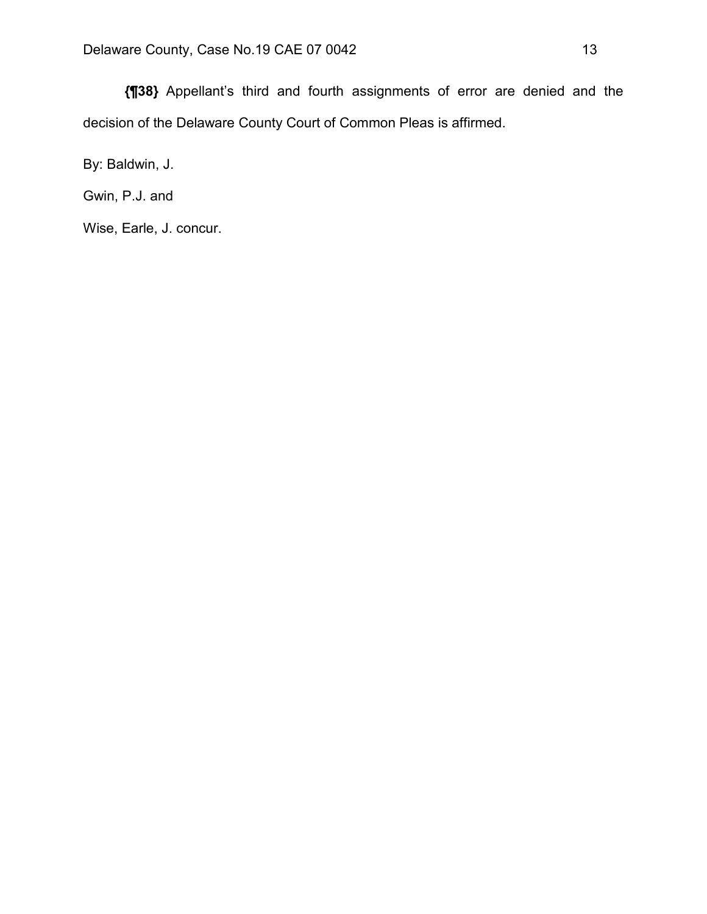**{¶38}** Appellant's third and fourth assignments of error are denied and the decision of the Delaware County Court of Common Pleas is affirmed.

By: Baldwin, J.

Gwin, P.J. and

Wise, Earle, J. concur.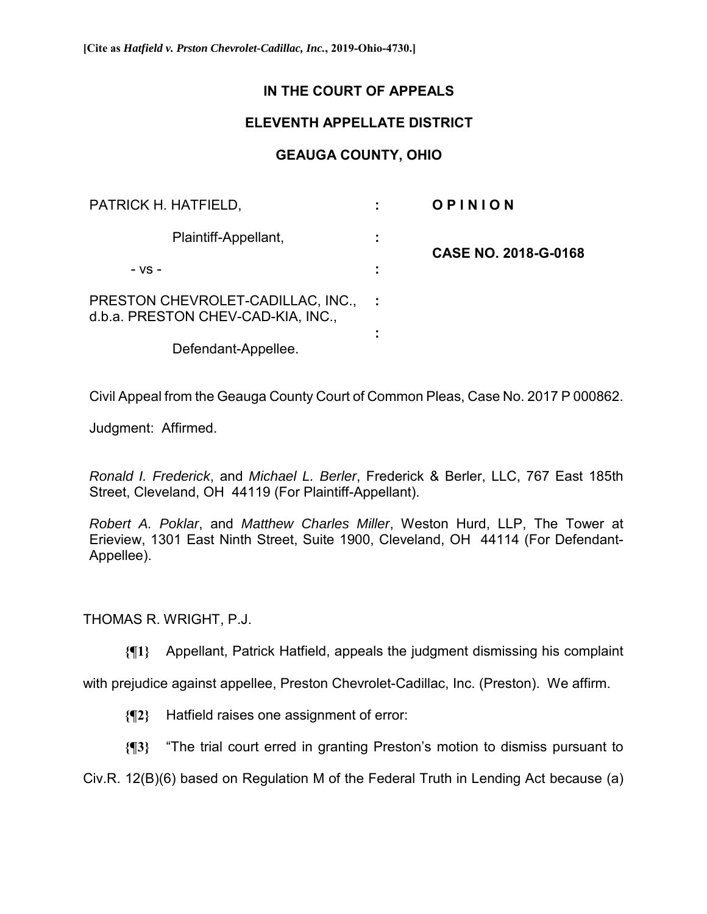# **IN THE COURT OF APPEALS**

# **ELEVENTH APPELLATE DISTRICT**

# **GEAUGA COUNTY, OHIO**

| PATRICK H. HATFIELD,                                                    |  | OPINION                     |
|-------------------------------------------------------------------------|--|-----------------------------|
| Plaintiff-Appellant,                                                    |  | <b>CASE NO. 2018-G-0168</b> |
| - VS -                                                                  |  |                             |
| PRESTON CHEVROLET-CADILLAC, INC.,<br>d.b.a. PRESTON CHEV-CAD-KIA, INC., |  |                             |
| Defendant-Appellee.                                                     |  |                             |

Civil Appeal from the Geauga County Court of Common Pleas, Case No. 2017 P 000862.

Judgment: Affirmed.

*Ronald I. Frederick*, and *Michael L. Berler*, Frederick & Berler, LLC, 767 East 185th Street, Cleveland, OH 44119 (For Plaintiff-Appellant).

*Robert A. Poklar*, and *Matthew Charles Miller*, Weston Hurd, LLP, The Tower at Erieview, 1301 East Ninth Street, Suite 1900, Cleveland, OH 44114 (For Defendant-Appellee).

THOMAS R. WRIGHT, P.J.

**{¶1}** Appellant, Patrick Hatfield, appeals the judgment dismissing his complaint

with prejudice against appellee, Preston Chevrolet-Cadillac, Inc. (Preston). We affirm.

**{¶2}** Hatfield raises one assignment of error:

**{¶3}** "The trial court erred in granting Preston's motion to dismiss pursuant to

Civ.R. 12(B)(6) based on Regulation M of the Federal Truth in Lending Act because (a)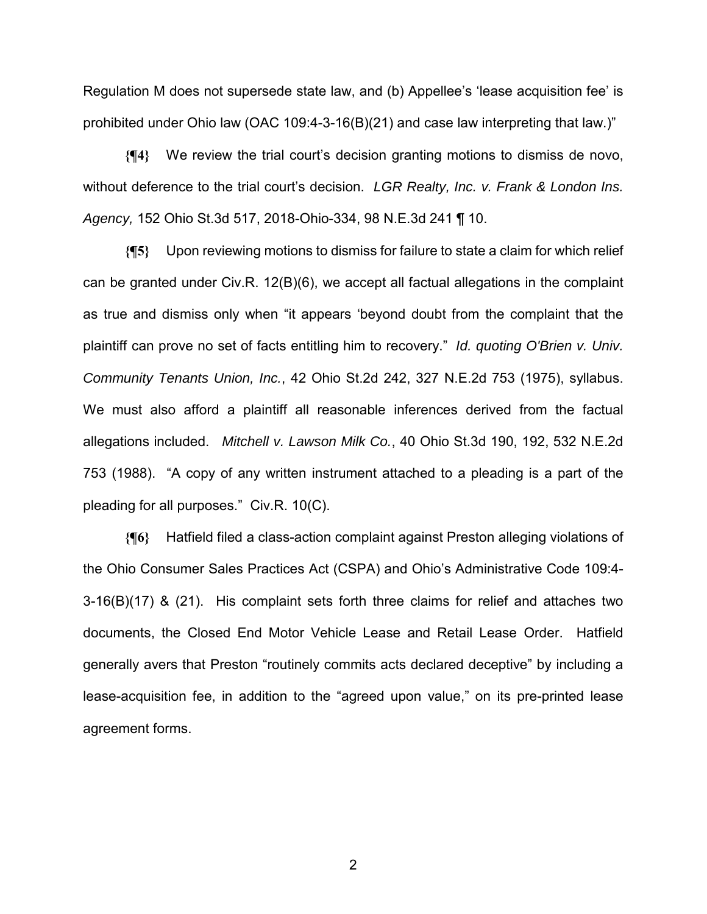Regulation M does not supersede state law, and (b) Appellee's 'lease acquisition fee' is prohibited under Ohio law (OAC 109:4-3-16(B)(21) and case law interpreting that law.)"

**{¶4}** We review the trial court's decision granting motions to dismiss de novo, without deference to the trial court's decision. *LGR Realty, Inc. v. Frank & London Ins. Agency,* 152 Ohio St.3d 517, 2018-Ohio-334, 98 N.E.3d 241 ¶ 10.

**{¶5}** Upon reviewing motions to dismiss for failure to state a claim for which relief can be granted under Civ.R. 12(B)(6), we accept all factual allegations in the complaint as true and dismiss only when "it appears 'beyond doubt from the complaint that the plaintiff can prove no set of facts entitling him to recovery." *Id. quoting O'Brien v. Univ. Community Tenants Union, Inc.*, 42 Ohio St.2d 242, 327 N.E.2d 753 (1975), syllabus. We must also afford a plaintiff all reasonable inferences derived from the factual allegations included. *Mitchell v. Lawson Milk Co.*, 40 Ohio St.3d 190, 192, 532 N.E.2d 753 (1988). "A copy of any written instrument attached to a pleading is a part of the pleading for all purposes." Civ.R. 10(C).

**{¶6}** Hatfield filed a class-action complaint against Preston alleging violations of the Ohio Consumer Sales Practices Act (CSPA) and Ohio's Administrative Code 109:4- 3-16(B)(17) & (21). His complaint sets forth three claims for relief and attaches two documents, the Closed End Motor Vehicle Lease and Retail Lease Order. Hatfield generally avers that Preston "routinely commits acts declared deceptive" by including a lease-acquisition fee, in addition to the "agreed upon value," on its pre-printed lease agreement forms.

2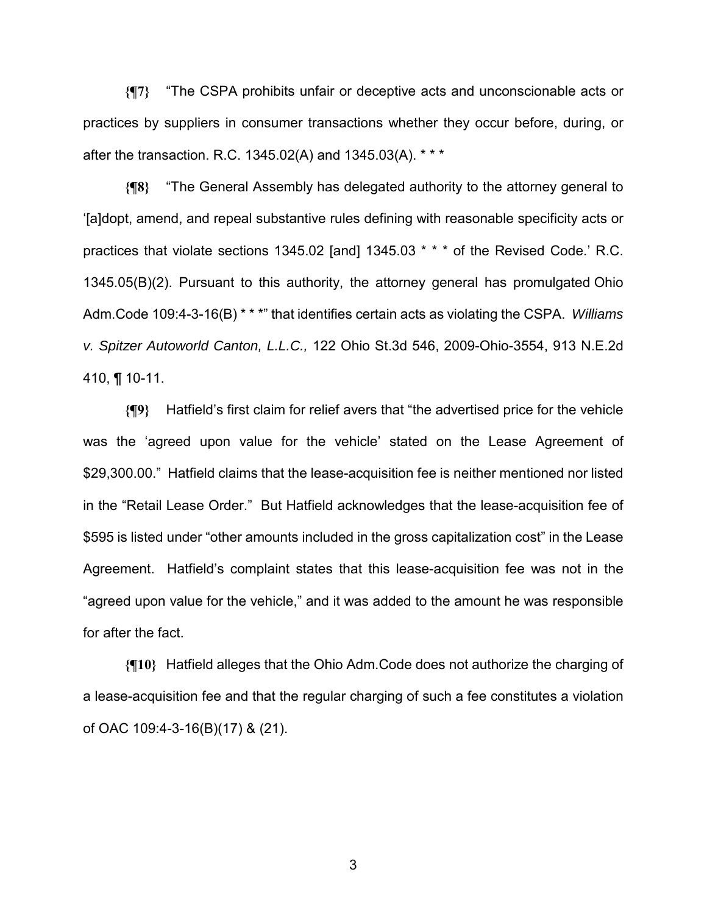**{¶7}** "The CSPA prohibits unfair or deceptive acts and unconscionable acts or practices by suppliers in consumer transactions whether they occur before, during, or after the transaction. R.C. 1345.02(A) and 1345.03(A). \* \* \*

**{¶8}** "The General Assembly has delegated authority to the attorney general to '[a]dopt, amend, and repeal substantive rules defining with reasonable specificity acts or practices that violate sections 1345.02 [and] 1345.03 \* \* \* of the Revised Code.' R.C. 1345.05(B)(2). Pursuant to this authority, the attorney general has promulgated Ohio Adm.Code 109:4-3-16(B) \* \* \*" that identifies certain acts as violating the CSPA. *Williams v. Spitzer Autoworld Canton, L.L.C.,* 122 Ohio St.3d 546, 2009-Ohio-3554, 913 N.E.2d 410, ¶ 10-11.

**{¶9}** Hatfield's first claim for relief avers that "the advertised price for the vehicle was the 'agreed upon value for the vehicle' stated on the Lease Agreement of \$29,300.00." Hatfield claims that the lease-acquisition fee is neither mentioned nor listed in the "Retail Lease Order." But Hatfield acknowledges that the lease-acquisition fee of \$595 is listed under "other amounts included in the gross capitalization cost" in the Lease Agreement. Hatfield's complaint states that this lease-acquisition fee was not in the "agreed upon value for the vehicle," and it was added to the amount he was responsible for after the fact.

**{¶10}** Hatfield alleges that the Ohio Adm.Code does not authorize the charging of a lease-acquisition fee and that the regular charging of such a fee constitutes a violation of OAC 109:4-3-16(B)(17) & (21).

 $\sim$  3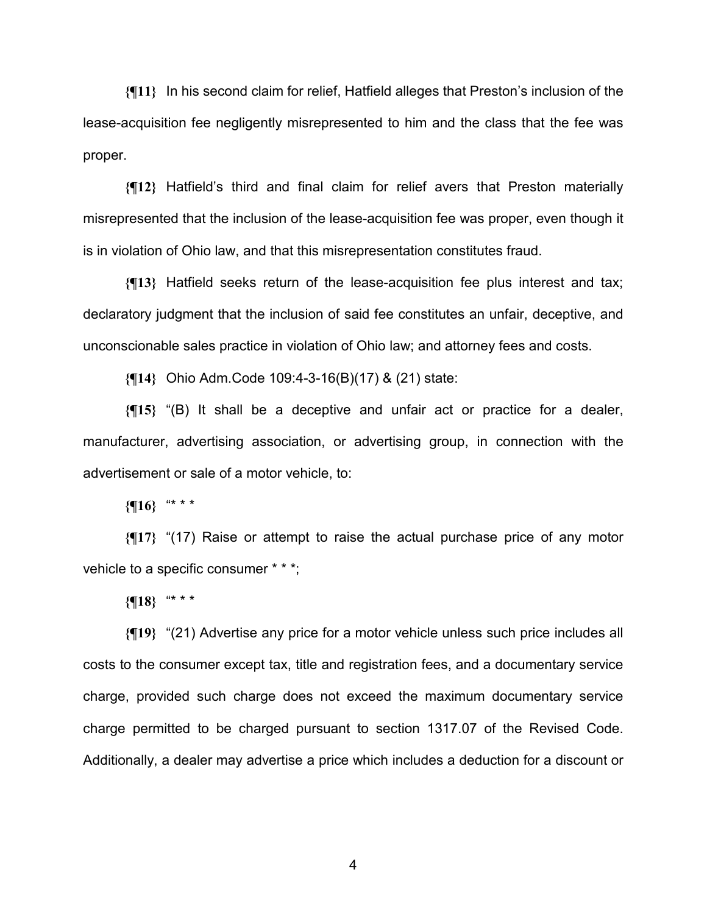**{¶11}** In his second claim for relief, Hatfield alleges that Preston's inclusion of the lease-acquisition fee negligently misrepresented to him and the class that the fee was proper.

**{¶12}** Hatfield's third and final claim for relief avers that Preston materially misrepresented that the inclusion of the lease-acquisition fee was proper, even though it is in violation of Ohio law, and that this misrepresentation constitutes fraud.

**{¶13}** Hatfield seeks return of the lease-acquisition fee plus interest and tax; declaratory judgment that the inclusion of said fee constitutes an unfair, deceptive, and unconscionable sales practice in violation of Ohio law; and attorney fees and costs.

**{¶14}** Ohio Adm.Code 109:4-3-16(B)(17) & (21) state:

**{¶15}** "(B) It shall be a deceptive and unfair act or practice for a dealer, manufacturer, advertising association, or advertising group, in connection with the advertisement or sale of a motor vehicle, to:

**{¶16}** "\* \* \*

**{¶17}** "(17) Raise or attempt to raise the actual purchase price of any motor vehicle to a specific consumer \* \* \*;

**{¶18}** "\* \* \*

**{¶19}** "(21) Advertise any price for a motor vehicle unless such price includes all costs to the consumer except tax, title and registration fees, and a documentary service charge, provided such charge does not exceed the maximum documentary service charge permitted to be charged pursuant to section 1317.07 of the Revised Code. Additionally, a dealer may advertise a price which includes a deduction for a discount or

4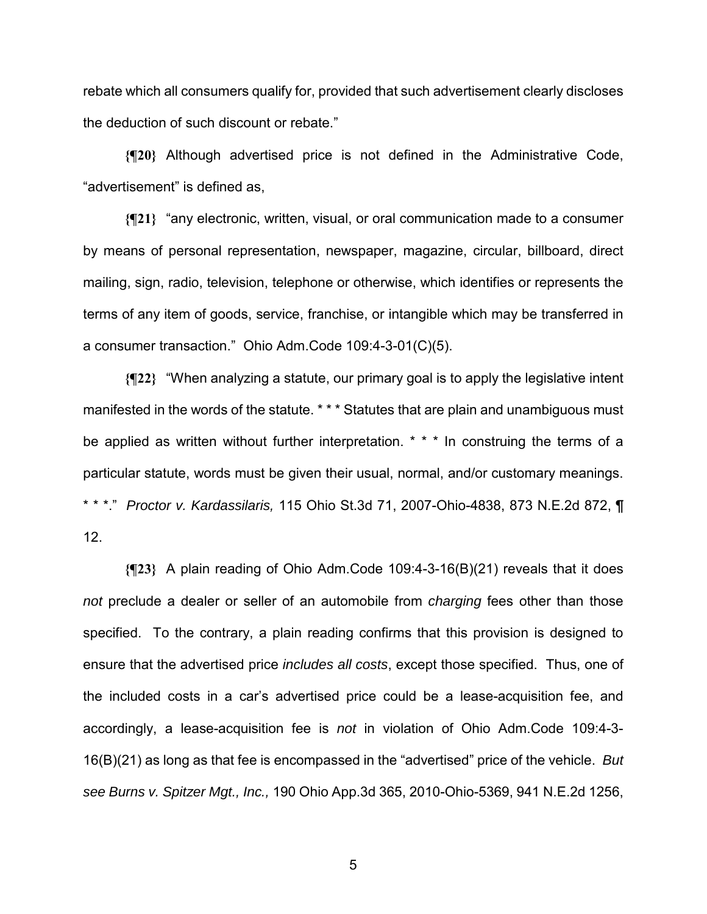rebate which all consumers qualify for, provided that such advertisement clearly discloses the deduction of such discount or rebate."

**{¶20}** Although advertised price is not defined in the Administrative Code, "advertisement" is defined as,

**{¶21}** "any electronic, written, visual, or oral communication made to a consumer by means of personal representation, newspaper, magazine, circular, billboard, direct mailing, sign, radio, television, telephone or otherwise, which identifies or represents the terms of any item of goods, service, franchise, or intangible which may be transferred in a consumer transaction." Ohio Adm.Code 109:4-3-01(C)(5).

**{¶22}** "When analyzing a statute, our primary goal is to apply the legislative intent manifested in the words of the statute. \* \* \* Statutes that are plain and unambiguous must be applied as written without further interpretation. \* \* \* In construing the terms of a particular statute, words must be given their usual, normal, and/or customary meanings. \* \* \*." *Proctor v. Kardassilaris,* 115 Ohio St.3d 71, 2007-Ohio-4838, 873 N.E.2d 872, ¶ 12.

**{¶23}** A plain reading of Ohio Adm.Code 109:4-3-16(B)(21) reveals that it does *not* preclude a dealer or seller of an automobile from *charging* fees other than those specified. To the contrary, a plain reading confirms that this provision is designed to ensure that the advertised price *includes all costs*, except those specified. Thus, one of the included costs in a car's advertised price could be a lease-acquisition fee, and accordingly, a lease-acquisition fee is *not* in violation of Ohio Adm.Code 109:4-3- 16(B)(21) as long as that fee is encompassed in the "advertised" price of the vehicle. *But see Burns v. Spitzer Mgt., Inc.,* 190 Ohio App.3d 365, 2010-Ohio-5369, 941 N.E.2d 1256,

 $5<sup>th</sup>$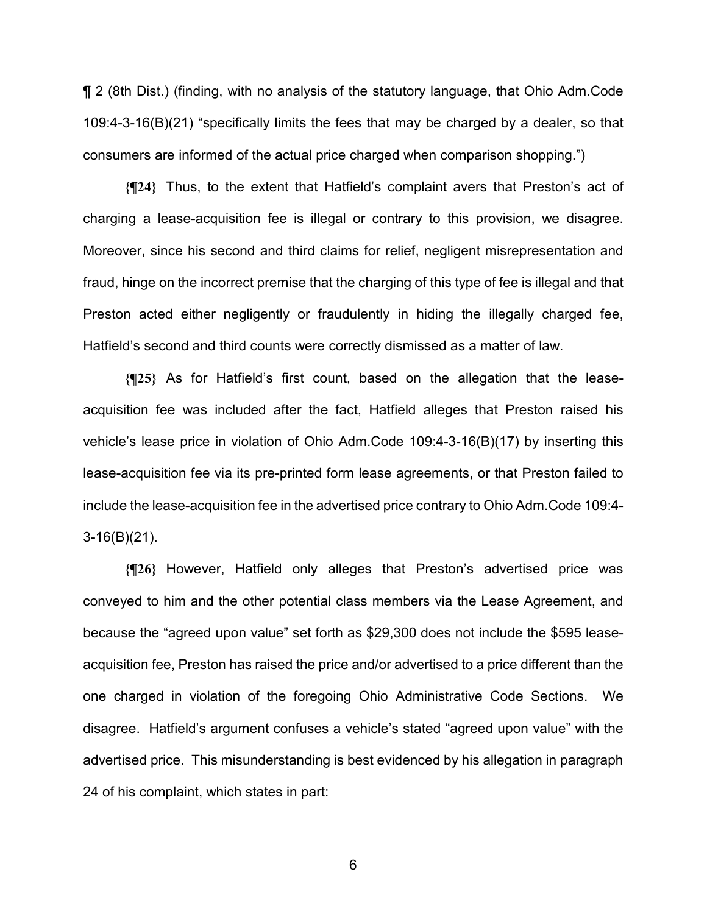¶ 2 (8th Dist.) (finding, with no analysis of the statutory language, that Ohio Adm.Code 109:4-3-16(B)(21) "specifically limits the fees that may be charged by a dealer, so that consumers are informed of the actual price charged when comparison shopping.")

**{¶24}** Thus, to the extent that Hatfield's complaint avers that Preston's act of charging a lease-acquisition fee is illegal or contrary to this provision, we disagree. Moreover, since his second and third claims for relief, negligent misrepresentation and fraud, hinge on the incorrect premise that the charging of this type of fee is illegal and that Preston acted either negligently or fraudulently in hiding the illegally charged fee, Hatfield's second and third counts were correctly dismissed as a matter of law.

**{¶25}** As for Hatfield's first count, based on the allegation that the leaseacquisition fee was included after the fact, Hatfield alleges that Preston raised his vehicle's lease price in violation of Ohio Adm.Code 109:4-3-16(B)(17) by inserting this lease-acquisition fee via its pre-printed form lease agreements, or that Preston failed to include the lease-acquisition fee in the advertised price contrary to Ohio Adm.Code 109:4- 3-16(B)(21).

**{¶26}** However, Hatfield only alleges that Preston's advertised price was conveyed to him and the other potential class members via the Lease Agreement, and because the "agreed upon value" set forth as \$29,300 does not include the \$595 leaseacquisition fee, Preston has raised the price and/or advertised to a price different than the one charged in violation of the foregoing Ohio Administrative Code Sections. We disagree. Hatfield's argument confuses a vehicle's stated "agreed upon value" with the advertised price. This misunderstanding is best evidenced by his allegation in paragraph 24 of his complaint, which states in part:

 $\sim$  6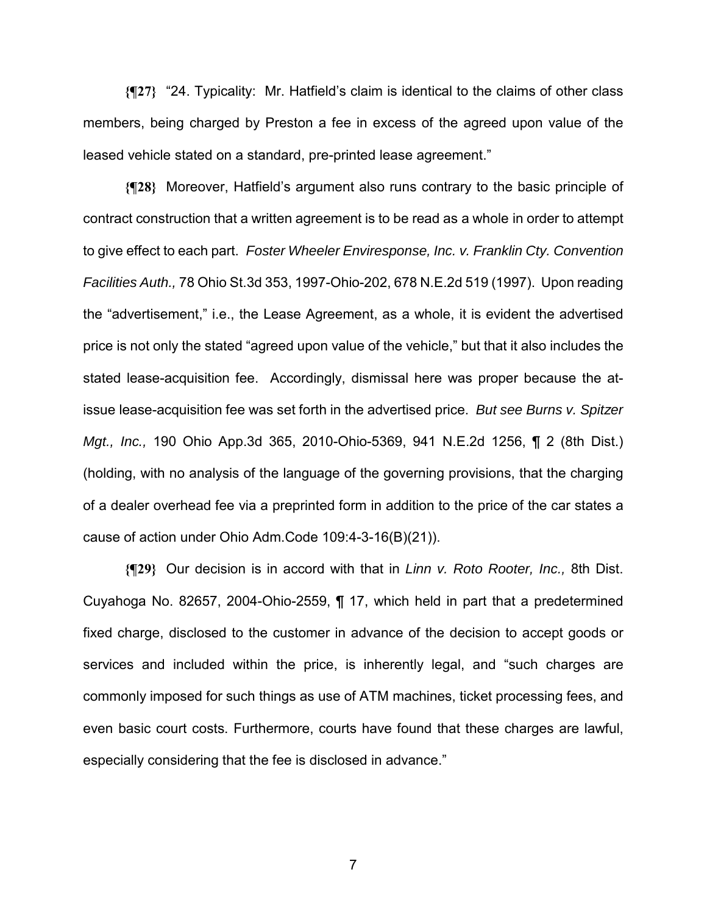**{¶27}** "24. Typicality: Mr. Hatfield's claim is identical to the claims of other class members, being charged by Preston a fee in excess of the agreed upon value of the leased vehicle stated on a standard, pre-printed lease agreement."

**{¶28}** Moreover, Hatfield's argument also runs contrary to the basic principle of contract construction that a written agreement is to be read as a whole in order to attempt to give effect to each part. *Foster Wheeler Enviresponse, Inc. v. Franklin Cty. Convention Facilities Auth.,* 78 Ohio St.3d 353, 1997-Ohio-202, 678 N.E.2d 519 (1997). Upon reading the "advertisement," i.e., the Lease Agreement, as a whole, it is evident the advertised price is not only the stated "agreed upon value of the vehicle," but that it also includes the stated lease-acquisition fee. Accordingly, dismissal here was proper because the atissue lease-acquisition fee was set forth in the advertised price. *But see Burns v. Spitzer Mgt., Inc.,* 190 Ohio App.3d 365, 2010-Ohio-5369, 941 N.E.2d 1256, ¶ 2 (8th Dist.) (holding, with no analysis of the language of the governing provisions, that the charging of a dealer overhead fee via a preprinted form in addition to the price of the car states a cause of action under Ohio Adm.Code 109:4-3-16(B)(21)).

**{¶29}** Our decision is in accord with that in *Linn v. Roto Rooter, Inc.,* 8th Dist. Cuyahoga No. 82657, 2004-Ohio-2559, ¶ 17, which held in part that a predetermined fixed charge, disclosed to the customer in advance of the decision to accept goods or services and included within the price, is inherently legal, and "such charges are commonly imposed for such things as use of ATM machines, ticket processing fees, and even basic court costs. Furthermore, courts have found that these charges are lawful, especially considering that the fee is disclosed in advance."

7